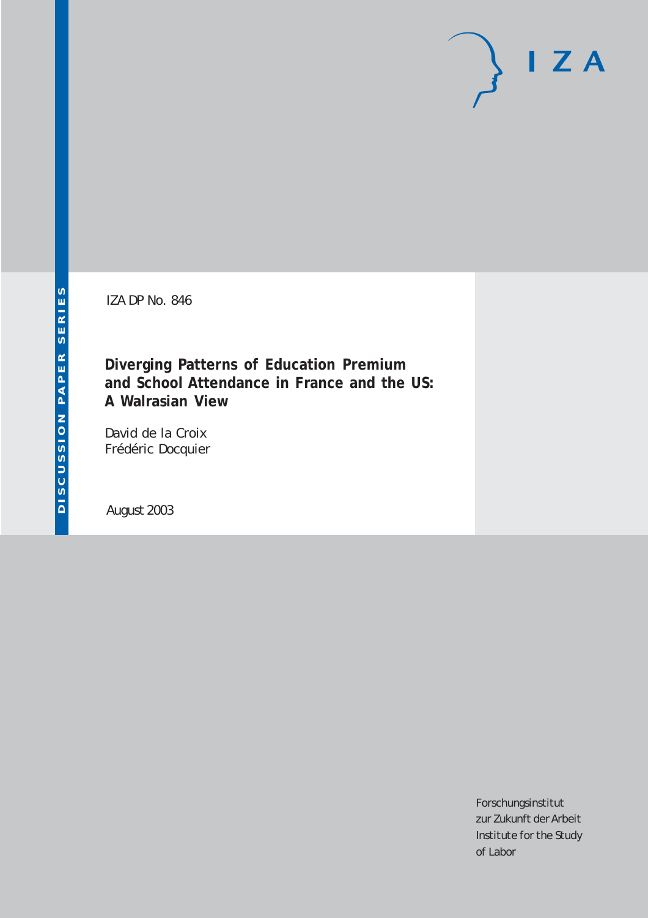IZA DP No. 846

**Diverging Patterns of Education Premium and School Attendance in France and the US: A Walrasian View**

David de la Croix Frédéric Docquier

August 2003

Forschungsinstitut zur Zukunft der Arbeit Institute for the Study of Labor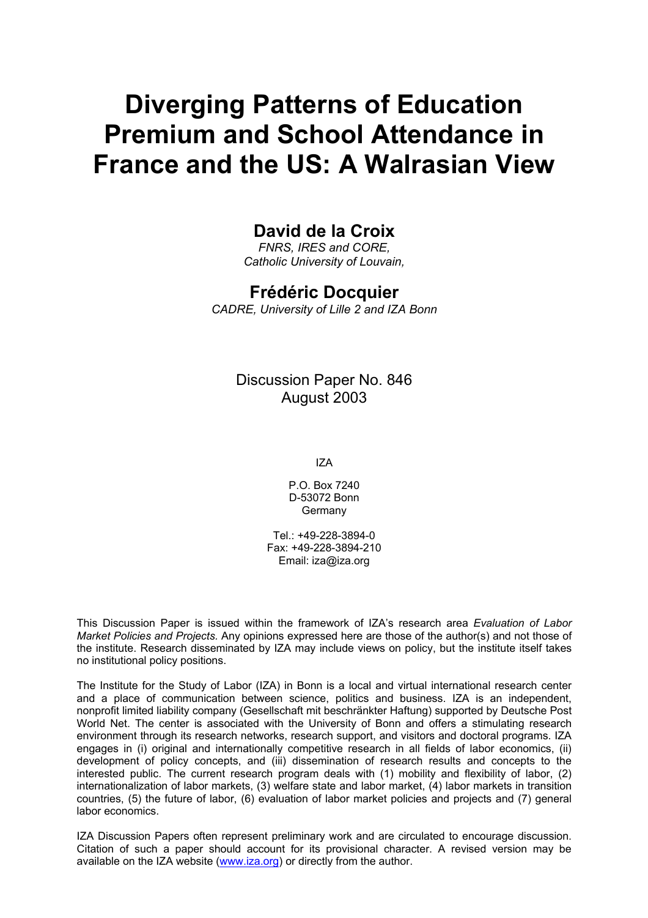# **Diverging Patterns of Education Premium and School Attendance in France and the US: A Walrasian View**

### **David de la Croix**

*FNRS, IRES and CORE, Catholic University of Louvain,* 

#### **Frédéric Docquier**

*CADRE, University of Lille 2 and IZA Bonn* 

#### Discussion Paper No. 846 August 2003

IZA

P.O. Box 7240 D-53072 Bonn Germany

Tel.: +49-228-3894-0 Fax: +49-228-3894-210 Email: [iza@iza.org](mailto:iza@iza.org)

This Discussion Paper is issued within the framework of IZA's research area *Evaluation of Labor Market Policies and Projects.* Any opinions expressed here are those of the author(s) and not those of the institute. Research disseminated by IZA may include views on policy, but the institute itself takes no institutional policy positions.

The Institute for the Study of Labor (IZA) in Bonn is a local and virtual international research center and a place of communication between science, politics and business. IZA is an independent, nonprofit limited liability company (Gesellschaft mit beschränkter Haftung) supported by Deutsche Post World Net. The center is associated with the University of Bonn and offers a stimulating research environment through its research networks, research support, and visitors and doctoral programs. IZA engages in (i) original and internationally competitive research in all fields of labor economics, (ii) development of policy concepts, and (iii) dissemination of research results and concepts to the interested public. The current research program deals with (1) mobility and flexibility of labor, (2) internationalization of labor markets, (3) welfare state and labor market, (4) labor markets in transition countries, (5) the future of labor, (6) evaluation of labor market policies and projects and (7) general labor economics.

IZA Discussion Papers often represent preliminary work and are circulated to encourage discussion. Citation of such a paper should account for its provisional character. A revised version may be available on the IZA website ([www.iza.org](http://www.iza.org/)) or directly from the author.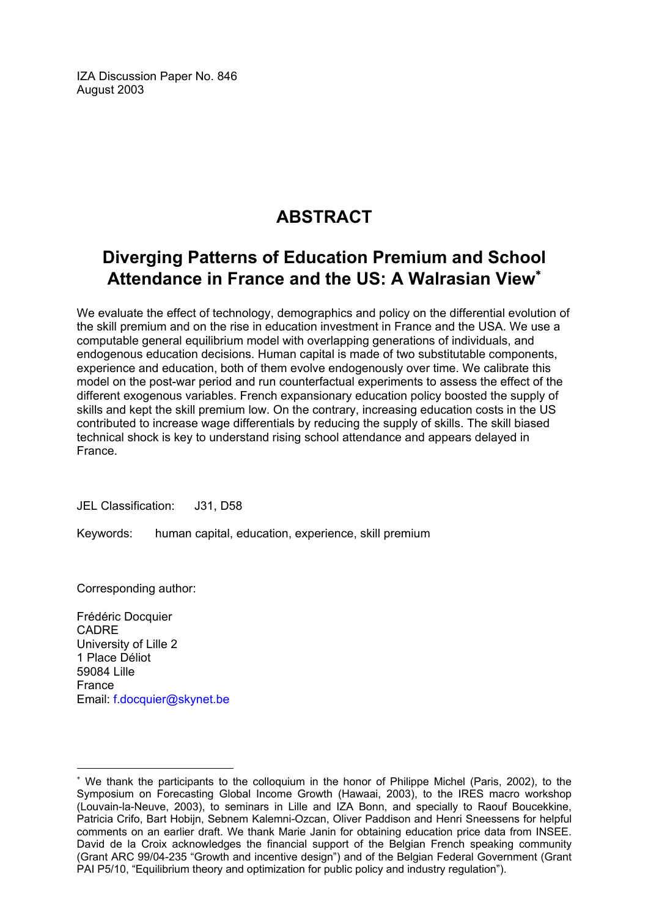IZA Discussion Paper No. 846 August 2003

## **ABSTRACT**

## **Diverging Patterns of Education Premium and School Attendance in France and the US: A Walrasian View**[∗](#page-2-0)

We evaluate the effect of technology, demographics and policy on the differential evolution of the skill premium and on the rise in education investment in France and the USA. We use a computable general equilibrium model with overlapping generations of individuals, and endogenous education decisions. Human capital is made of two substitutable components, experience and education, both of them evolve endogenously over time. We calibrate this model on the post-war period and run counterfactual experiments to assess the effect of the different exogenous variables. French expansionary education policy boosted the supply of skills and kept the skill premium low. On the contrary, increasing education costs in the US contributed to increase wage differentials by reducing the supply of skills. The skill biased technical shock is key to understand rising school attendance and appears delayed in France.

JEL Classification: J31, D58

Keywords: human capital, education, experience, skill premium

Corresponding author:

 $\overline{a}$ 

Frédéric Docquier CADRE University of Lille 2 1 Place Déliot 59084 Lille France Email: [f.docquier@skynet.be](mailto:f.docquier@skynet.be)

<span id="page-2-0"></span><sup>∗</sup> We thank the participants to the colloquium in the honor of Philippe Michel (Paris, 2002), to the Symposium on Forecasting Global Income Growth (Hawaai, 2003), to the IRES macro workshop (Louvain-la-Neuve, 2003), to seminars in Lille and IZA Bonn, and specially to Raouf Boucekkine, Patricia Crifo, Bart Hobijn, Sebnem Kalemni-Ozcan, Oliver Paddison and Henri Sneessens for helpful comments on an earlier draft. We thank Marie Janin for obtaining education price data from INSEE. David de la Croix acknowledges the financial support of the Belgian French speaking community (Grant ARC 99/04-235 "Growth and incentive design") and of the Belgian Federal Government (Grant PAI P5/10, "Equilibrium theory and optimization for public policy and industry regulation").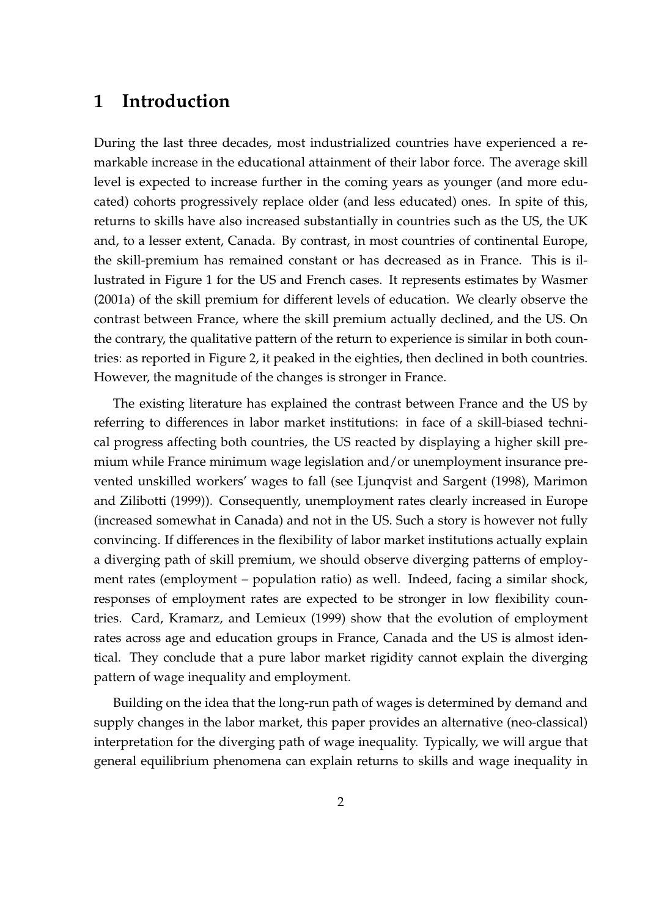### 1 Introduction

During the last three decades, most industrialized countries have experienced a remarkable increase in the educational attainment of their labor force. The average skill level is expected to increase further in the coming years as younger (and more educated) cohorts progressively replace older (and less educated) ones. In spite of this, returns to skills have also increased substantially in countries such as the US, the UK and, to a lesser extent, Canada. By contrast, in most countries of continental Europe, the skill-premium has remained constant or has decreased as in France. This is illustrated in Figure 1 for the US and French cases. It represents estimates by Wasmer (2001a) of the skill premium for different levels of education. We clearly observe the contrast between France, where the skill premium actually declined, and the US. On the contrary, the qualitative pattern of the return to experience is similar in both countries: as reported in Figure 2, it peaked in the eighties, then declined in both countries. However, the magnitude of the changes is stronger in France.

The existing literature has explained the contrast between France and the US by referring to differences in labor market institutions: in face of a skill-biased technical progress affecting both countries, the US reacted by displaying a higher skill premium while France minimum wage legislation and/or unemployment insurance prevented unskilled workers' wages to fall (see Ljunqvist and Sargent (1998), Marimon and Zilibotti (1999)). Consequently, unemployment rates clearly increased in Europe (increased somewhat in Canada) and not in the US. Such a story is however not fully convincing. If differences in the flexibility of labor market institutions actually explain a diverging path of skill premium, we should observe diverging patterns of employment rates (employment – population ratio) as well. Indeed, facing a similar shock, responses of employment rates are expected to be stronger in low flexibility countries. Card, Kramarz, and Lemieux (1999) show that the evolution of employment rates across age and education groups in France, Canada and the US is almost identical. They conclude that a pure labor market rigidity cannot explain the diverging pattern of wage inequality and employment.

Building on the idea that the long-run path of wages is determined by demand and supply changes in the labor market, this paper provides an alternative (neo-classical) interpretation for the diverging path of wage inequality. Typically, we will argue that general equilibrium phenomena can explain returns to skills and wage inequality in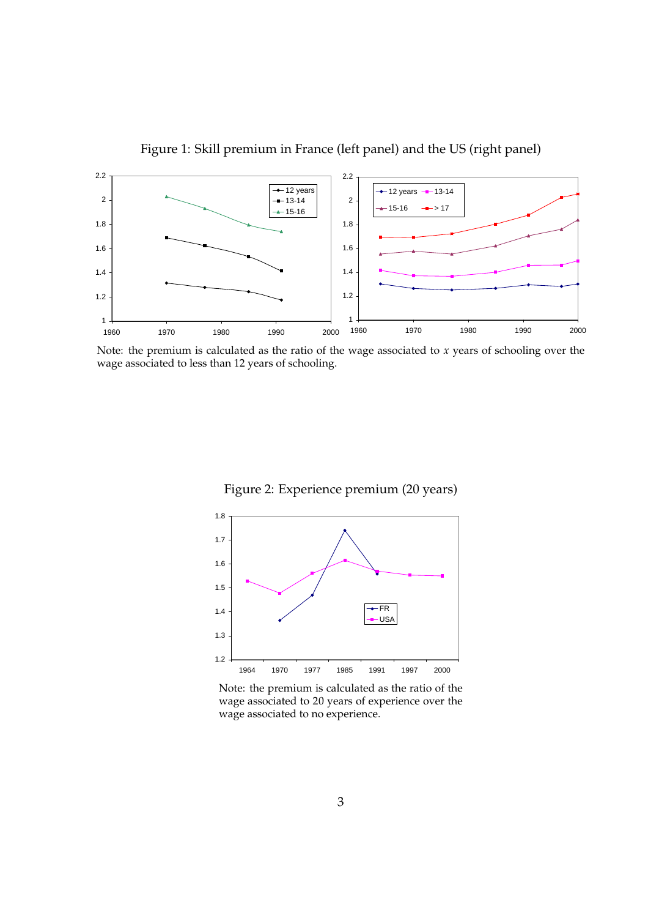

Figure 1: Skill premium in France (left panel) and the US (right panel)

Note: the premium is calculated as the ratio of the wage associated to  $x$  years of schooling over the wage associated to less than 12 years of schooling.





Note: the premium is calculated as the ratio of the wage associated to 20 years of experience over the wage associated to no experience.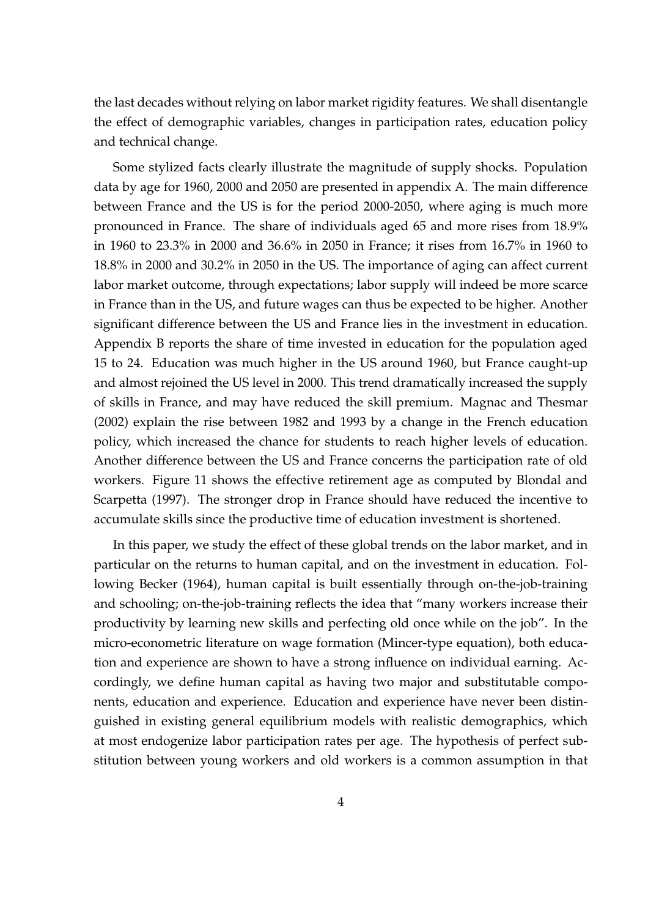the last decades without relying on labor market rigidity features. We shall disentangle the effect of demographic variables, changes in participation rates, education policy and technical change.

Some stylized facts clearly illustrate the magnitude of supply shocks. Population data by age for 1960, 2000 and 2050 are presented in appendix A. The main difference between France and the US is for the period 2000-2050, where aging is much more pronounced in France. The share of individuals aged 65 and more rises from 18.9% in 1960 to 23.3% in 2000 and 36.6% in 2050 in France; it rises from 16.7% in 1960 to 18.8% in 2000 and 30.2% in 2050 in the US. The importance of aging can affect current labor market outcome, through expectations; labor supply will indeed be more scarce in France than in the US, and future wages can thus be expected to be higher. Another significant difference between the US and France lies in the investment in education. Appendix B reports the share of time invested in education for the population aged 15 to 24. Education was much higher in the US around 1960, but France caught-up and almost rejoined the US level in 2000. This trend dramatically increased the supply of skills in France, and may have reduced the skill premium. Magnac and Thesmar (2002) explain the rise between 1982 and 1993 by a change in the French education policy, which increased the chance for students to reach higher levels of education. Another difference between the US and France concerns the participation rate of old workers. Figure 11 shows the effective retirement age as computed by Blondal and Scarpetta (1997). The stronger drop in France should have reduced the incentive to accumulate skills since the productive time of education investment is shortened.

In this paper, we study the effect of these global trends on the labor market, and in particular on the returns to human capital, and on the investment in education. Following Becker (1964), human capital is built essentially through on-the-job-training and schooling; on-the-job-training reflects the idea that "many workers increase their productivity by learning new skills and perfecting old once while on the job". In the micro-econometric literature on wage formation (Mincer-type equation), both education and experience are shown to have a strong influence on individual earning. Accordingly, we define human capital as having two major and substitutable components, education and experience. Education and experience have never been distinguished in existing general equilibrium models with realistic demographics, which at most endogenize labor participation rates per age. The hypothesis of perfect substitution between young workers and old workers is a common assumption in that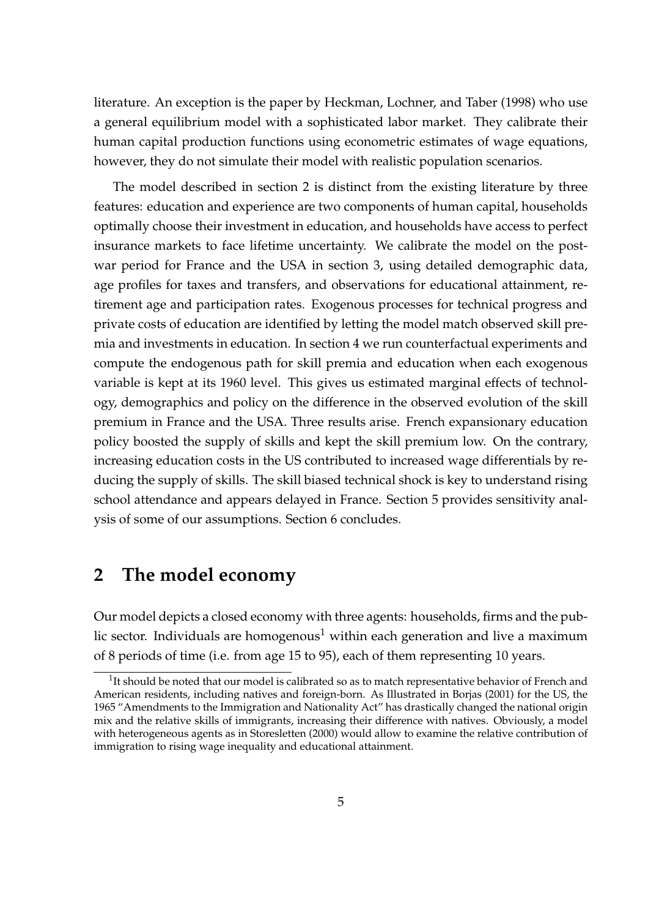literature. An exception is the paper by Heckman, Lochner, and Taber (1998) who use a general equilibrium model with a sophisticated labor market. They calibrate their human capital production functions using econometric estimates of wage equations, however, they do not simulate their model with realistic population scenarios.

The model described in section 2 is distinct from the existing literature by three features: education and experience are two components of human capital, households optimally choose their investment in education, and households have access to perfect insurance markets to face lifetime uncertainty. We calibrate the model on the postwar period for France and the USA in section 3, using detailed demographic data, age profiles for taxes and transfers, and observations for educational attainment, retirement age and participation rates. Exogenous processes for technical progress and private costs of education are identified by letting the model match observed skill premia and investments in education. In section 4 we run counterfactual experiments and compute the endogenous path for skill premia and education when each exogenous variable is kept at its 1960 level. This gives us estimated marginal effects of technology, demographics and policy on the difference in the observed evolution of the skill premium in France and the USA. Three results arise. French expansionary education policy boosted the supply of skills and kept the skill premium low. On the contrary, increasing education costs in the US contributed to increased wage differentials by reducing the supply of skills. The skill biased technical shock is key to understand rising school attendance and appears delayed in France. Section 5 provides sensitivity analysis of some of our assumptions. Section 6 concludes.

### 2 The model economy

Our model depicts a closed economy with three agents: households, firms and the public sector. Individuals are homogenous<sup>1</sup> within each generation and live a maximum of 8 periods of time (i.e. from age 15 to 95), each of them representing 10 years.

 $1$ It should be noted that our model is calibrated so as to match representative behavior of French and American residents, including natives and foreign-born. As Illustrated in Borjas (2001) for the US, the 1965 "Amendments to the Immigration and Nationality Act" has drastically changed the national origin mix and the relative skills of immigrants, increasing their difference with natives. Obviously, a model with heterogeneous agents as in Storesletten (2000) would allow to examine the relative contribution of immigration to rising wage inequality and educational attainment.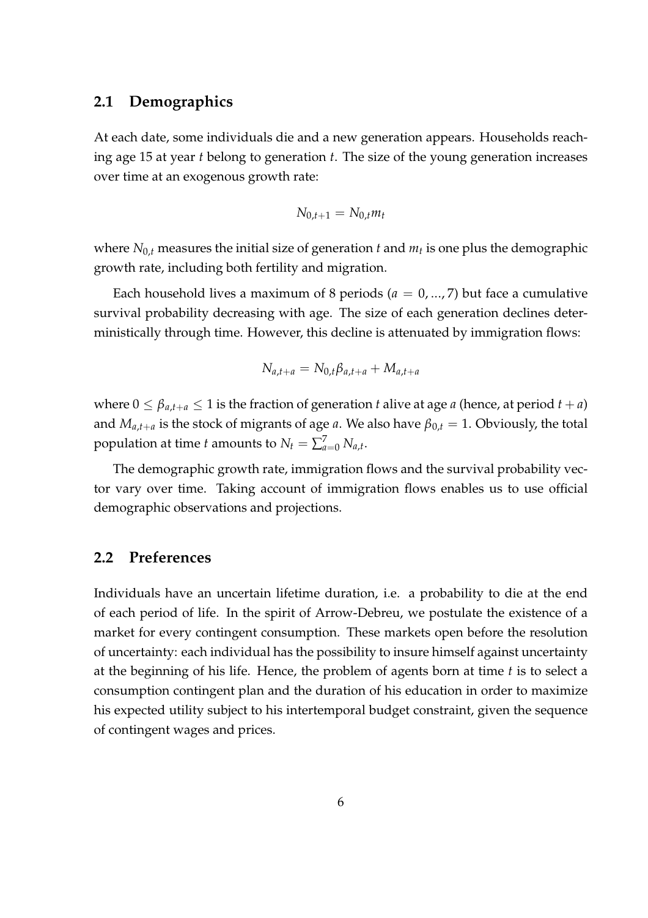#### 2.1 Demographics

At each date, some individuals die and a new generation appears. Households reaching age 15 at year  $t$  belong to generation  $t$ . The size of the young generation increases over time at an exogenous growth rate:

$$
N_{0,t+1} = N_{0,t} m_t
$$

where  $N_{0,t}$  measures the initial size of generation  $t$  and  $m_t$  is one plus the demographic growth rate, including both fertility and migration.

Each household lives a maximum of 8 periods ( $a = 0, \ldots, 7$ ) but face a cumulative survival probability decreasing with age. The size of each generation declines deterministically through time. However, this decline is attenuated by immigration flows:

$$
N_{a,t+a} = N_{0,t} \beta_{a,t+a} + M_{a,t+a}
$$

where  $0 \leq \beta_{a,t+a} \leq 1$  is the fraction of generation t alive at age a (hence, at period  $t + a$ ) and  $M_{a,t+a}$  is the stock of migrants of age a. We also have  $\beta_{0,t} = 1$ . Obviously, the total population at time t amounts to  $N_t = \sum_{a=0}^{7} N_{a,t}$ .

The demographic growth rate, immigration flows and the survival probability vector vary over time. Taking account of immigration flows enables us to use official demographic observations and projections.

#### 2.2 Preferences

Individuals have an uncertain lifetime duration, i.e. a probability to die at the end of each period of life. In the spirit of Arrow-Debreu, we postulate the existence of a market for every contingent consumption. These markets open before the resolution of uncertainty: each individual has the possibility to insure himself against uncertainty at the beginning of his life. Hence, the problem of agents born at time  $t$  is to select a consumption contingent plan and the duration of his education in order to maximize his expected utility subject to his intertemporal budget constraint, given the sequence of contingent wages and prices.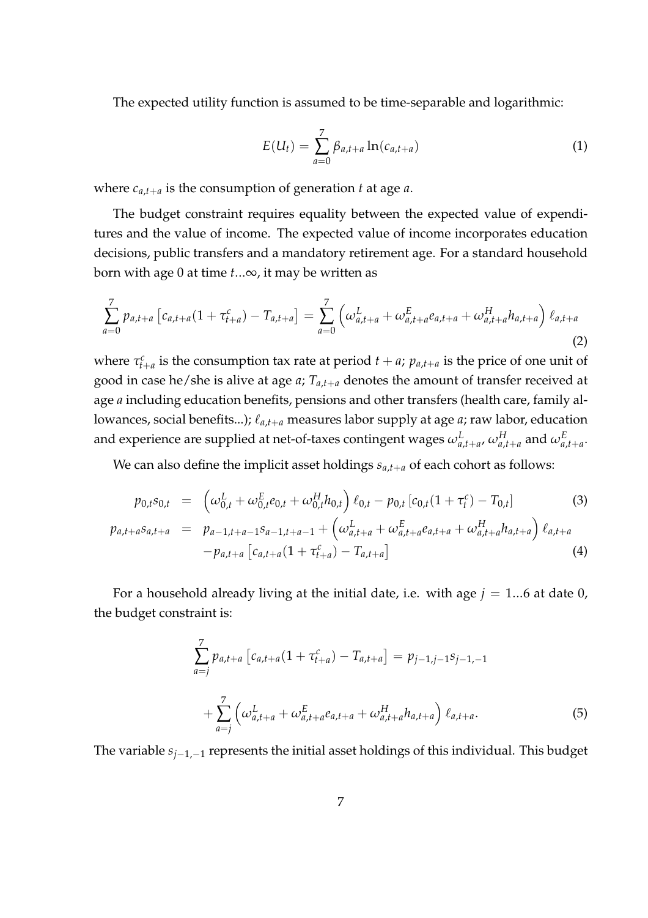The expected utility function is assumed to be time-separable and logarithmic:

$$
E(U_t) = \sum_{a=0}^{7} \beta_{a,t+a} \ln(c_{a,t+a})
$$
 (1)

where  $c_{a,t+a}$  is the consumption of generation t at age a.

The budget constraint requires equality between the expected value of expenditures and the value of income. The expected value of income incorporates education decisions, public transfers and a mandatory retirement age. For a standard household born with age 0 at time  $t...\infty$ , it may be written as

$$
\sum_{a=0}^{7} p_{a,t+a} \left[ c_{a,t+a} (1 + \tau_{t+a}^c) - T_{a,t+a} \right] = \sum_{a=0}^{7} \left( \omega_{a,t+a}^L + \omega_{a,t+a}^E c_{a,t+a} + \omega_{a,t+a}^H h_{a,t+a} \right) \ell_{a,t+a}
$$
\n(2)

where  $\tau_{t+a}^c$  is the consumption tax rate at period  $t + a$ ;  $p_{a,t+a}$  is the price of one unit of good in case he/she is alive at age  $a$ ;  $T_{a,t+a}$  denotes the amount of transfer received at age *a* including education benefits, pensions and other transfers (health care, family allowances, social benefits...);  $\ell_{a,t+a}$  measures labor supply at age a; raw labor, education and experience are supplied at net-of-taxes contingent wages  $\omega^L_{a,t+a},\omega^H_{a,t+a}$  and  $\omega^E_{a,t+a}.$ 

We can also define the implicit asset holdings  $s_{a,t+a}$  of each cohort as follows:

$$
p_{0,t}s_{0,t} = \left(\omega_{0,t}^L + \omega_{0,t}^E e_{0,t} + \omega_{0,t}^H h_{0,t}\right) \ell_{0,t} - p_{0,t} \left[c_{0,t}(1 + \tau_t^c) - T_{0,t}\right]
$$
(3)

$$
p_{a,t+a} s_{a,t+a} = p_{a-1,t+a-1} s_{a-1,t+a-1} + \left(\omega_{a,t+a}^{L} + \omega_{a,t+a}^{E} e_{a,t+a} + \omega_{a,t+a}^{H} h_{a,t+a}\right) \ell_{a,t+a}
$$
  
-
$$
p_{a,t+a} \left[c_{a,t+a} (1 + \tau_{t+a}^{c}) - T_{a,t+a}\right]
$$
 (4)

For a household already living at the initial date, i.e. with age  $j = 1...6$  at date 0, the budget constraint is:

$$
\sum_{a=j}^{7} p_{a,t+a} \left[ c_{a,t+a} (1 + \tau_{t+a}^c) - T_{a,t+a} \right] = p_{j-1,j-1} s_{j-1,-1}
$$
  
+ 
$$
\sum_{a=j}^{7} \left( \omega_{a,t+a}^L + \omega_{a,t+a}^E e_{a,t+a} + \omega_{a,t+a}^H h_{a,t+a} \right) \ell_{a,t+a}.
$$
 (5)

The variable  $s_{i-1,-1}$  represents the initial asset holdings of this individual. This budget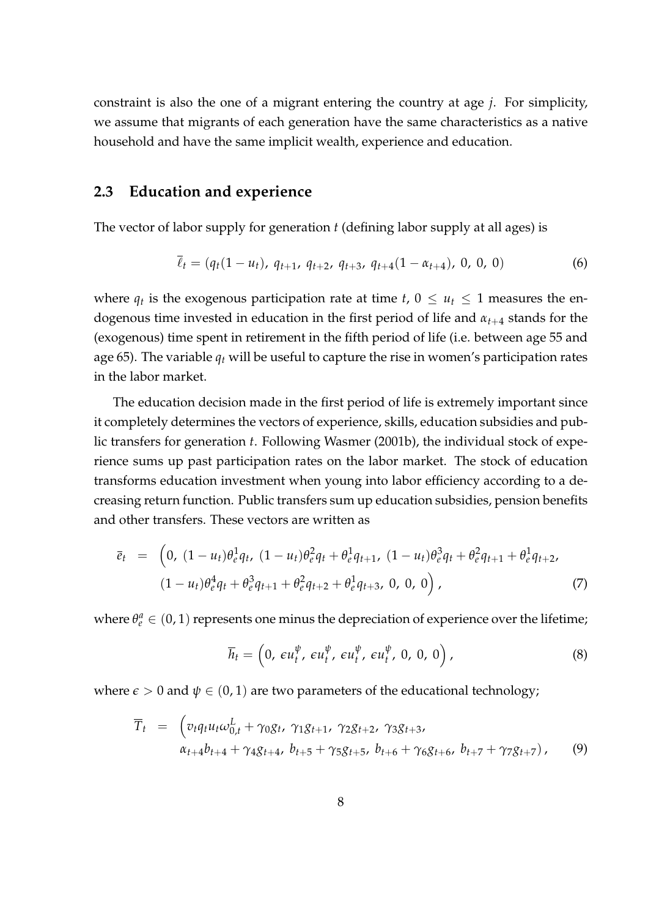constraint is also the one of a migrant entering the country at age  $j$ . For simplicity, we assume that migrants of each generation have the same characteristics as a native household and have the same implicit wealth, experience and education.

#### 2.3 Education and experience

The vector of labor supply for generation  $t$  (defining labor supply at all ages) is

$$
\overline{\ell}_t = (q_t(1 - u_t), q_{t+1}, q_{t+2}, q_{t+3}, q_{t+4}(1 - \alpha_{t+4}), 0, 0, 0)
$$
\n(6)

where  $q_t$  is the exogenous participation rate at time  $t$ ,  $0 \le u_t \le 1$  measures the endogenous time invested in education in the first period of life and  $\alpha_{t+4}$  stands for the (exogenous) time spent in retirement in the fifth period of life (i.e. between age 55 and age 65). The variable  $q_t$  will be useful to capture the rise in women's participation rates in the labor market.

The education decision made in the first period of life is extremely important since it completely determines the vectors of experience, skills, education subsidies and public transfers for generation t. Following Wasmer (2001b), the individual stock of experience sums up past participation rates on the labor market. The stock of education transforms education investment when young into labor efficiency according to a decreasing return function. Public transfers sum up education subsidies, pension benefits and other transfers. These vectors are written as

$$
\overline{e}_t = \left(0, (1 - u_t)\theta_e^1 q_t, (1 - u_t)\theta_e^2 q_t + \theta_e^1 q_{t+1}, (1 - u_t)\theta_e^3 q_t + \theta_e^2 q_{t+1} + \theta_e^1 q_{t+2},\right.\n(1 - u_t)\theta_e^4 q_t + \theta_e^3 q_{t+1} + \theta_e^2 q_{t+2} + \theta_e^1 q_{t+3}, 0, 0, 0\right),
$$
\n(7)

where  $\theta_e^a \in (0, 1)$  represents one minus the depreciation of experience over the lifetime;

$$
\overline{h}_t = \left(0, \,\varepsilon u_t^{\psi}, \,\varepsilon u_t^{\psi}, \,\varepsilon u_t^{\psi}, \,\varepsilon u_t^{\psi}, \,0, \,0, \,0\right),\tag{8}
$$

where  $\epsilon > 0$  and  $\psi \in (0, 1)$  are two parameters of the educational technology;

$$
\overline{T}_t = \begin{pmatrix} v_t q_t u_t \omega_{0,t}^L + \gamma_0 g_t, & \gamma_1 g_{t+1}, & \gamma_2 g_{t+2}, & \gamma_3 g_{t+3}, \\ \alpha_{t+4} b_{t+4} + \gamma_4 g_{t+4}, & b_{t+5} + \gamma_5 g_{t+5}, & b_{t+6} + \gamma_6 g_{t+6}, & b_{t+7} + \gamma_7 g_{t+7} \end{pmatrix}, \quad (9)
$$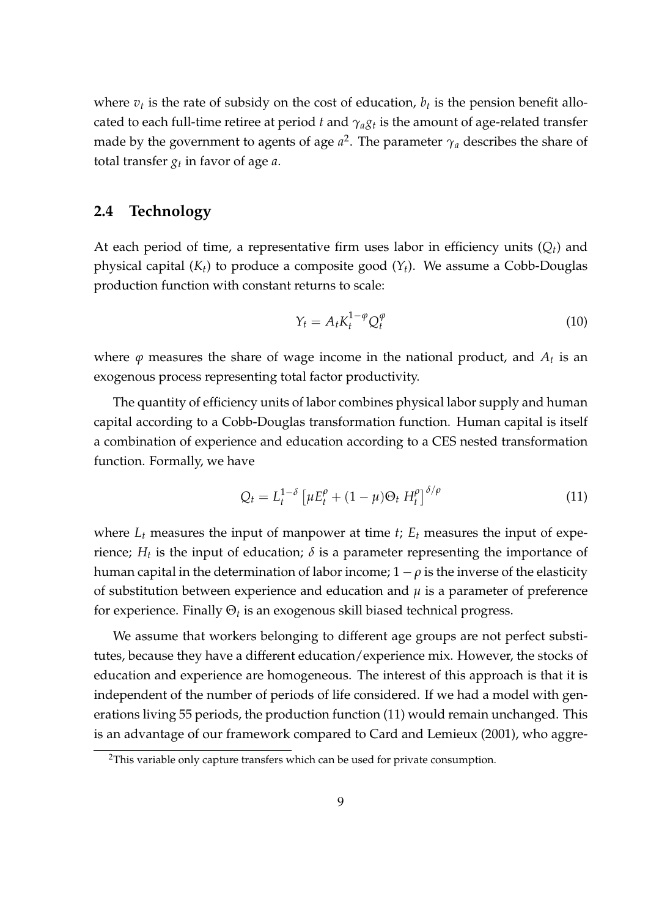where  $v_t$  is the rate of subsidy on the cost of education,  $b_t$  is the pension benefit allocated to each full-time retiree at period  $t$  and  $\gamma_a g_t$  is the amount of age-related transfer made by the government to agents of age  $a^2$ . The parameter  $\gamma_a$  describes the share of total transfer  $g_t$  in favor of age  $a$ .

#### 2.4 Technology

At each period of time, a representative firm uses labor in efficiency units  $(Q_t)$  and physical capital  $(K_t)$  to produce a composite good  $(Y_t)$ . We assume a Cobb-Douglas production function with constant returns to scale:

$$
Y_t = A_t K_t^{1-\varphi} Q_t^{\varphi} \tag{10}
$$

where  $\varphi$  measures the share of wage income in the national product, and  $A_t$  is an exogenous process representing total factor productivity.

The quantity of efficiency units of labor combines physical labor supply and human capital according to a Cobb-Douglas transformation function. Human capital is itself a combination of experience and education according to a CES nested transformation function. Formally, we have

$$
Q_t = L_t^{1-\delta} \left[ \mu E_t^{\rho} + (1-\mu)\Theta_t H_t^{\rho} \right]^{\delta/\rho} \tag{11}
$$

where  $L_t$  measures the input of manpower at time t;  $E_t$  measures the input of experience;  $H_t$  is the input of education;  $\delta$  is a parameter representing the importance of human capital in the determination of labor income;  $1 - \rho$  is the inverse of the elasticity of substitution between experience and education and  $\mu$  is a parameter of preference for experience. Finally  $\Theta_t$  is an exogenous skill biased technical progress.

We assume that workers belonging to different age groups are not perfect substitutes, because they have a different education/experience mix. However, the stocks of education and experience are homogeneous. The interest of this approach is that it is independent of the number of periods of life considered. If we had a model with generations living 55 periods, the production function (11) would remain unchanged. This is an advantage of our framework compared to Card and Lemieux (2001), who aggre-

<sup>&</sup>lt;sup>2</sup>This variable only capture transfers which can be used for private consumption.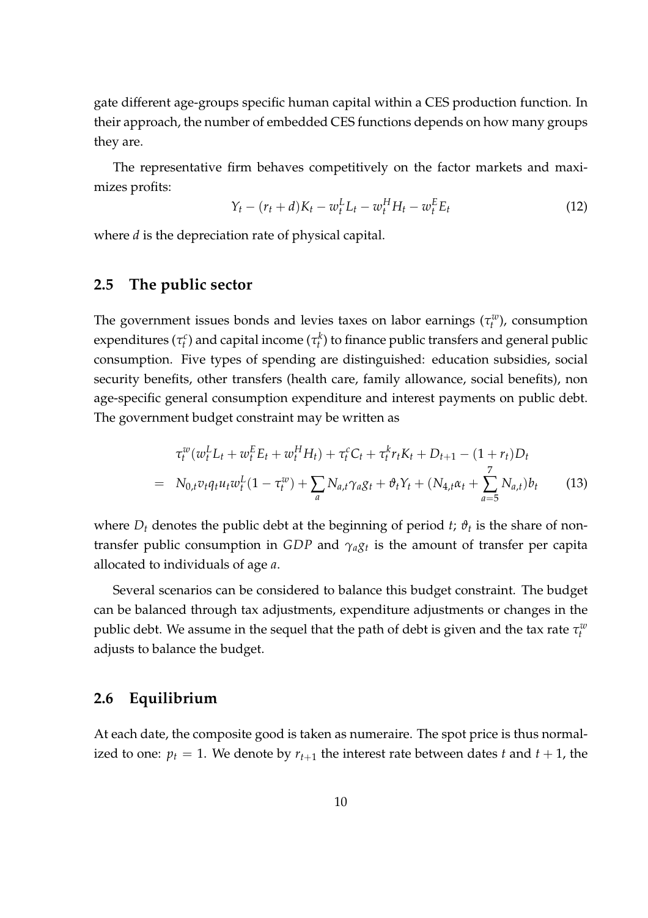gate different age-groups specific human capital within a CES production function. In their approach, the number of embedded CES functions depends on how many groups they are.

The representative firm behaves competitively on the factor markets and maximizes profits:

$$
Y_t - (r_t + d)K_t - w_t^L L_t - w_t^H H_t - w_t^E E_t \tag{12}
$$

where *d* is the depreciation rate of physical capital.

#### 2.5 The public sector

The government issues bonds and levies taxes on labor earnings  $(\tau_t^w)$ , consumption expenditures ( $\tau_t^c$ ) and capital income ( $\tau_t^k$ ) to finance public transfers and general public consumption. Five types of spending are distinguished: education subsidies, social security benefits, other transfers (health care, family allowance, social benefits), non age-specific general consumption expenditure and interest payments on public debt. The government budget constraint may be written as

$$
\tau_t^w(w_t^L L_t + w_t^E E_t + w_t^H H_t) + \tau_t^c C_t + \tau_t^k r_t K_t + D_{t+1} - (1 + r_t) D_t
$$
\n
$$
= N_{0,t} v_t q_t u_t w_t^L (1 - \tau_t^w) + \sum_a N_{a,t} \gamma_a g_t + \vartheta_t Y_t + (N_{4,t} \alpha_t + \sum_{a=5}^7 N_{a,t}) b_t \tag{13}
$$

where  $D_t$  denotes the public debt at the beginning of period  $t$ ;  $\vartheta_t$  is the share of nontransfer public consumption in GDP and  $\gamma_{a}g_{t}$  is the amount of transfer per capita allocated to individuals of age a.

Several scenarios can be considered to balance this budget constraint. The budget can be balanced through tax adjustments, expenditure adjustments or changes in the public debt. We assume in the sequel that the path of debt is given and the tax rate  $\tau^w_t$ adjusts to balance the budget.

#### 2.6 Equilibrium

At each date, the composite good is taken as numeraire. The spot price is thus normalized to one:  $p_t = 1$ . We denote by  $r_{t+1}$  the interest rate between dates t and  $t + 1$ , the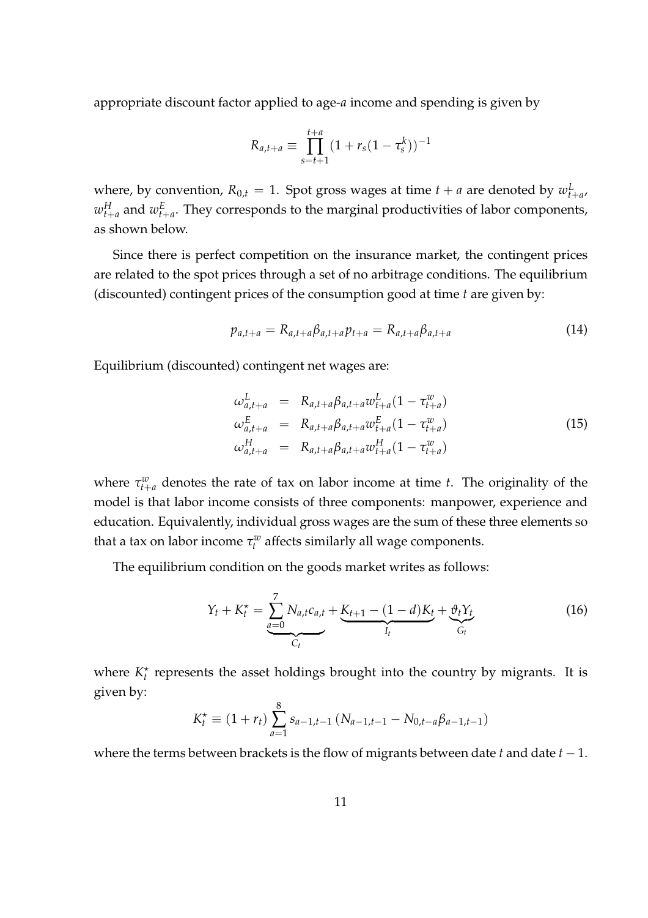appropriate discount factor applied to age- $a$  income and spending is given by

$$
R_{a,t+a} \equiv \prod_{s=t+1}^{t+a} (1 + r_s(1 - \tau_s^k))^{-1}
$$

where, by convention,  $R_{0,t} = 1$ . Spot gross wages at time  $t + a$  are denoted by  $w_{t+a}^L$ ,  $w_{t+a}^H$  and  $w_{t+a}^E.$  They corresponds to the marginal productivities of labor components, as shown below.

Since there is perfect competition on the insurance market, the contingent prices are related to the spot prices through a set of no arbitrage conditions. The equilibrium (discounted) contingent prices of the consumption good at time  $t$  are given by:

$$
p_{a,t+a} = R_{a,t+a} \beta_{a,t+a} p_{t+a} = R_{a,t+a} \beta_{a,t+a}
$$
\n
$$
(14)
$$

Equilibrium (discounted) contingent net wages are:

$$
\omega_{a,t+a}^{L} = R_{a,t+a} \beta_{a,t+a} w_{t+a}^{L} (1 - \tau_{t+a}^{w}) \n\omega_{a,t+a}^{E} = R_{a,t+a} \beta_{a,t+a} w_{t+a}^{E} (1 - \tau_{t+a}^{w}) \n\omega_{a,t+a}^{H} = R_{a,t+a} \beta_{a,t+a} w_{t+a}^{H} (1 - \tau_{t+a}^{w})
$$
\n(15)

where  $\tau_{t+a}^w$  denotes the rate of tax on labor income at time t. The originality of the model is that labor income consists of three components: manpower, experience and education. Equivalently, individual gross wages are the sum of these three elements so that a tax on labor income  $\tau_t^w$  affects similarly all wage components.

The equilibrium condition on the goods market writes as follows:

$$
Y_t + K_t^* = \underbrace{\sum_{a=0}^7 N_{a,t}c_{a,t}}_{C_t} + \underbrace{K_{t+1} - (1 - d)K_t}_{I_t} + \underbrace{\vartheta_t Y_t}_{G_t}
$$
(16)

where  $K_t^*$  represents the asset holdings brought into the country by migrants. It is given by:

$$
K_t^{\star} \equiv (1 + r_t) \sum_{a=1}^{8} s_{a-1,t-1} (N_{a-1,t-1} - N_{0,t-a} \beta_{a-1,t-1})
$$

where the terms between brackets is the flow of migrants between date  $t$  and date  $t - 1$ .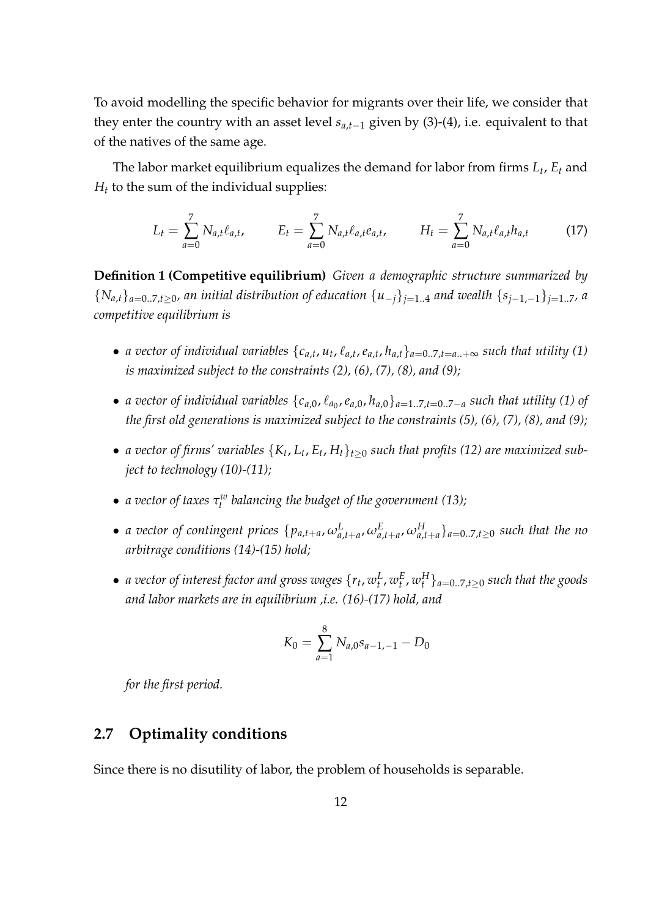To avoid modelling the specific behavior for migrants over their life, we consider that they enter the country with an asset level  $s_{a,t-1}$  given by (3)-(4), i.e. equivalent to that of the natives of the same age.

The labor market equilibrium equalizes the demand for labor from firms  $L_t$ ,  $E_t$  and  $H_t$  to the sum of the individual supplies:

$$
L_t = \sum_{a=0}^{7} N_{a,t} \ell_{a,t}, \qquad E_t = \sum_{a=0}^{7} N_{a,t} \ell_{a,t} e_{a,t}, \qquad H_t = \sum_{a=0}^{7} N_{a,t} \ell_{a,t} h_{a,t} \qquad (17)
$$

Definition 1 (Competitive equilibrium) Given a demographic structure summarized by  ${N_{a,t}}_{a=0..7,t>0}$ , an initial distribution of education  ${u_{-i}}_{i=1..4}$  and wealth  ${s_{i-1,-1}}_{i=1..7}$ , a competitive equilibrium is

- a vector of individual variables  $\{c_{a,t}, u_t, \ell_{a,t}, e_{a,t}, h_{a,t}\}_{a=0..7,t=a..+\infty}$  such that utility (1) is maximized subject to the constraints  $(2)$ ,  $(6)$ ,  $(7)$ ,  $(8)$ , and  $(9)$ ;
- a vector of individual variables  $\{c_{a,0}, \ell_{a_0}, e_{a,0}, h_{a,0}\}_{a=1..7,t=0..7-a}$  such that utility (1) of the first old generations is maximized subject to the constraints (5), (6), (7), (8), and (9);
- a vector of firms' variables  $\{K_t, L_t, E_t, H_t\}_{t\geq 0}$  such that profits (12) are maximized subject to technology (10)-(11);
- a vector of taxes  $\tau_t^w$  balancing the budget of the government (13);
- a vector of contingent prices  $\{p_{a,t+a}, \omega_{a,t+a}^L, \omega_{a,t+a}^E, \omega_{a,t+a}^H\}_{a=0..7,t\geq 0}$  such that the no arbitrage conditions (14)-(15) hold;
- $\bullet$  a vector of interest factor and gross wages  $\{r_t,w^L_t,w^E_t,w^H_t\}_{a=0..7,t\geq 0}$  such that the goods and labor markets are in equilibrium ,i.e. (16)-(17) hold, and

$$
K_0 = \sum_{a=1}^{8} N_{a,0} s_{a-1,-1} - D_0
$$

for the first period.

### 2.7 Optimality conditions

Since there is no disutility of labor, the problem of households is separable.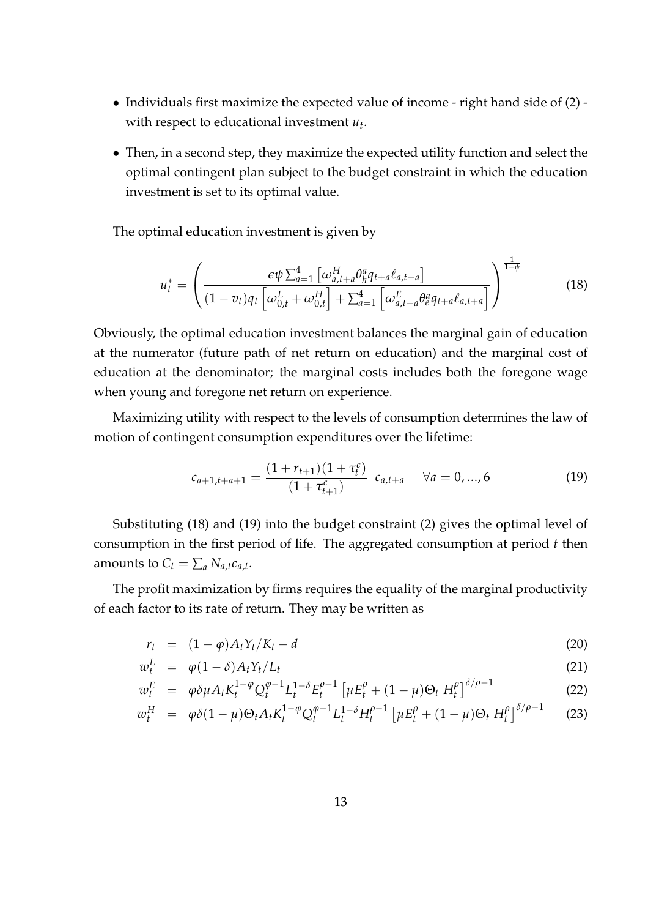- Individuals first maximize the expected value of income right hand side of (2) with respect to educational investment  $u_t$ .
- Then, in a second step, they maximize the expected utility function and select the optimal contingent plan subject to the budget constraint in which the education investment is set to its optimal value.

The optimal education investment is given by

$$
u_t^* = \left(\frac{\epsilon \psi \sum_{a=1}^4 \left[\omega_{a,t+a}^H \theta_h^a q_{t+a} \ell_{a,t+a}\right]}{(1 - v_t)q_t \left[\omega_{0,t}^L + \omega_{0,t}^H\right] + \sum_{a=1}^4 \left[\omega_{a,t+a}^E \theta_e^a q_{t+a} \ell_{a,t+a}\right]}\right)^{\frac{1}{1 - \psi}}
$$
(18)

Obviously, the optimal education investment balances the marginal gain of education at the numerator (future path of net return on education) and the marginal cost of education at the denominator; the marginal costs includes both the foregone wage when young and foregone net return on experience.

Maximizing utility with respect to the levels of consumption determines the law of motion of contingent consumption expenditures over the lifetime:

$$
c_{a+1,t+a+1} = \frac{(1+r_{t+1})(1+\tau_t^c)}{(1+\tau_{t+1}^c)} \quad c_{a,t+a} \quad \forall a = 0,...,6
$$
 (19)

Substituting (18) and (19) into the budget constraint (2) gives the optimal level of consumption in the first period of life. The aggregated consumption at period  $t$  then amounts to  $C_t = \sum_a N_{a,t} c_{a,t}$ .

The profit maximization by firms requires the equality of the marginal productivity of each factor to its rate of return. They may be written as

$$
r_t = (1 - \varphi)A_t Y_t / K_t - d \tag{20}
$$

$$
w_t^L = \varphi(1-\delta)A_t Y_t/L_t \tag{21}
$$

$$
w_t^E = \varphi \delta \mu A_t K_t^{1-\varphi} Q_t^{\varphi-1} L_t^{1-\delta} E_t^{\varphi-1} \left[ \mu E_t^{\varphi} + (1-\mu) \Theta_t H_t^{\varphi} \right]^{\delta/\varphi-1}
$$
(22)

$$
w_t^H = \varphi \delta (1 - \mu) \Theta_t A_t K_t^{1 - \varphi} Q_t^{\varphi - 1} L_t^{1 - \delta} H_t^{\rho - 1} \left[ \mu E_t^{\rho} + (1 - \mu) \Theta_t H_t^{\rho} \right]^{\delta / \rho - 1} \tag{23}
$$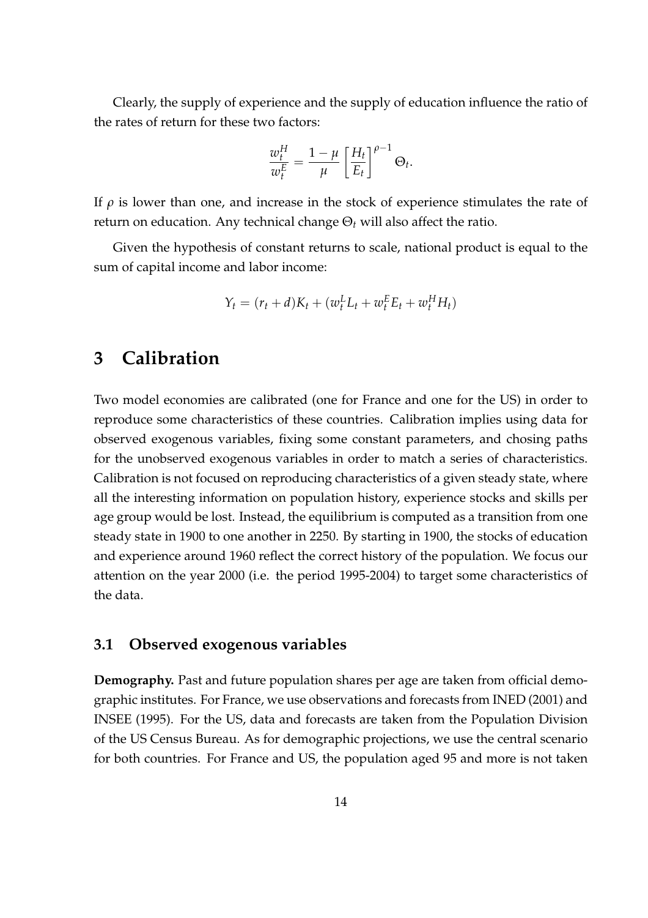Clearly, the supply of experience and the supply of education influence the ratio of the rates of return for these two factors:

$$
\frac{w_t^H}{w_t^E} = \frac{1-\mu}{\mu} \left[ \frac{H_t}{E_t} \right]^{\rho-1} \Theta_t.
$$

If  $\rho$  is lower than one, and increase in the stock of experience stimulates the rate of return on education. Any technical change  $\Theta_t$  will also affect the ratio.

Given the hypothesis of constant returns to scale, national product is equal to the sum of capital income and labor income:

$$
Y_t = (r_t + d)K_t + (w_t^L L_t + w_t^E E_t + w_t^H H_t)
$$

### 3 Calibration

Two model economies are calibrated (one for France and one for the US) in order to reproduce some characteristics of these countries. Calibration implies using data for observed exogenous variables, fixing some constant parameters, and chosing paths for the unobserved exogenous variables in order to match a series of characteristics. Calibration is not focused on reproducing characteristics of a given steady state, where all the interesting information on population history, experience stocks and skills per age group would be lost. Instead, the equilibrium is computed as a transition from one steady state in 1900 to one another in 2250. By starting in 1900, the stocks of education and experience around 1960 reflect the correct history of the population. We focus our attention on the year 2000 (i.e. the period 1995-2004) to target some characteristics of the data.

#### 3.1 Observed exogenous variables

Demography. Past and future population shares per age are taken from official demographic institutes. For France, we use observations and forecasts from INED (2001) and INSEE (1995). For the US, data and forecasts are taken from the Population Division of the US Census Bureau. As for demographic projections, we use the central scenario for both countries. For France and US, the population aged 95 and more is not taken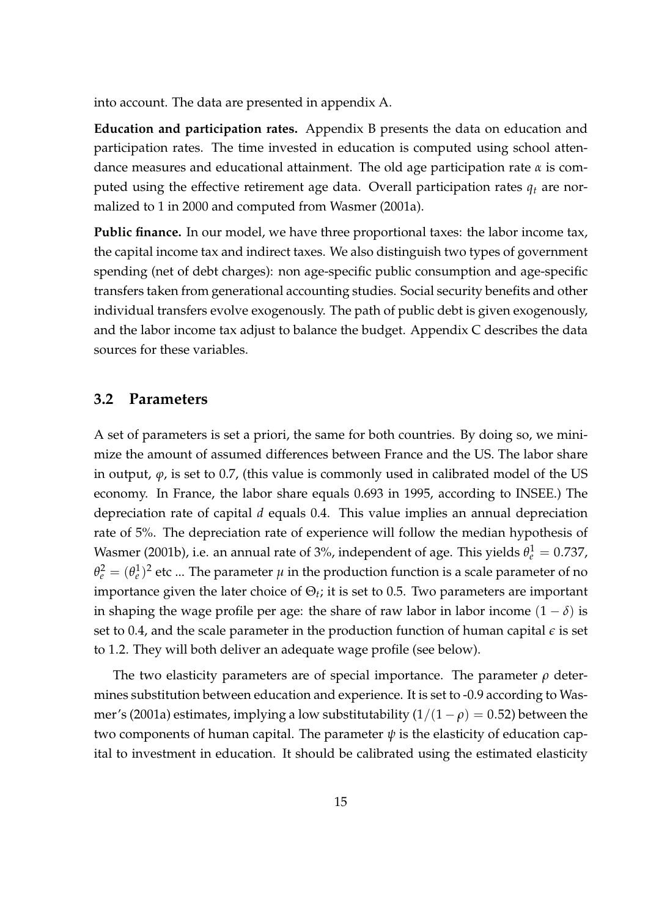into account. The data are presented in appendix A.

Education and participation rates. Appendix B presents the data on education and participation rates. The time invested in education is computed using school attendance measures and educational attainment. The old age participation rate  $\alpha$  is computed using the effective retirement age data. Overall participation rates  $q_t$  are normalized to 1 in 2000 and computed from Wasmer (2001a).

Public finance. In our model, we have three proportional taxes: the labor income tax, the capital income tax and indirect taxes. We also distinguish two types of government spending (net of debt charges): non age-specific public consumption and age-specific transfers taken from generational accounting studies. Social security benefits and other individual transfers evolve exogenously. The path of public debt is given exogenously, and the labor income tax adjust to balance the budget. Appendix C describes the data sources for these variables.

#### 3.2 Parameters

A set of parameters is set a priori, the same for both countries. By doing so, we minimize the amount of assumed differences between France and the US. The labor share in output,  $\varphi$ , is set to 0.7, (this value is commonly used in calibrated model of the US economy. In France, the labor share equals 0.693 in 1995, according to INSEE.) The depreciation rate of capital  $d$  equals 0.4. This value implies an annual depreciation rate of 5%. The depreciation rate of experience will follow the median hypothesis of Wasmer (2001b), i.e. an annual rate of 3%, independent of age. This yields  $\theta_e^1 = 0.737$ ,  $\theta_e^2=(\theta_e^1)^2$  etc ... The parameter  $\mu$  in the production function is a scale parameter of no importance given the later choice of  $\Theta_t$ ; it is set to 0.5. Two parameters are important in shaping the wage profile per age: the share of raw labor in labor income  $(1 - \delta)$  is set to 0.4, and the scale parameter in the production function of human capital  $\epsilon$  is set to 1.2. They will both deliver an adequate wage profile (see below).

The two elasticity parameters are of special importance. The parameter  $\rho$  determines substitution between education and experience. It is set to -0.9 according to Wasmer's (2001a) estimates, implying a low substitutability  $(1/(1 - \rho) = 0.52)$  between the two components of human capital. The parameter  $\psi$  is the elasticity of education capital to investment in education. It should be calibrated using the estimated elasticity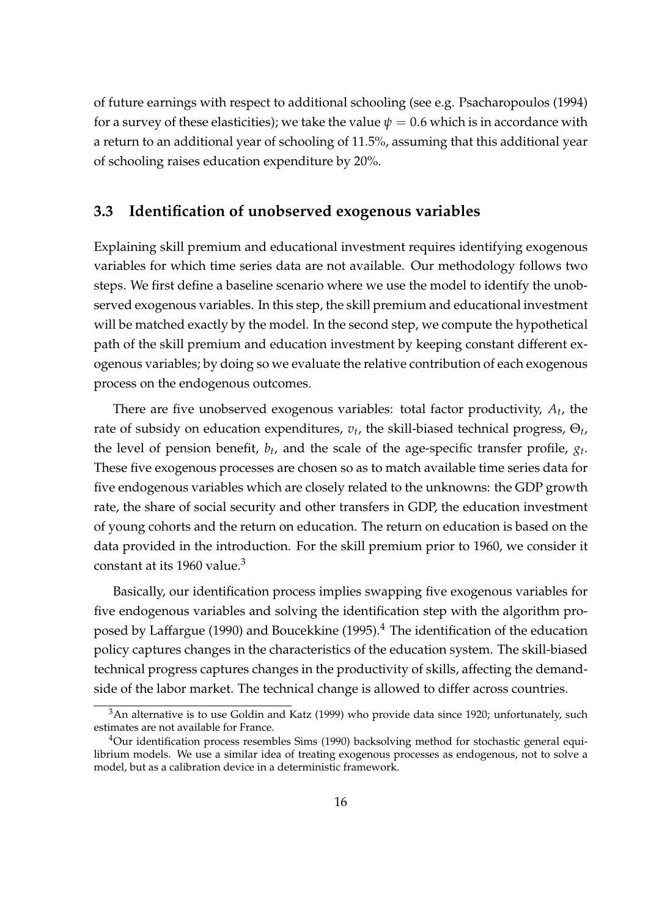of future earnings with respect to additional schooling (see e.g. Psacharopoulos (1994) for a survey of these elasticities); we take the value  $\psi = 0.6$  which is in accordance with a return to an additional year of schooling of 11.5%, assuming that this additional year of schooling raises education expenditure by 20%.

#### 3.3 Identification of unobserved exogenous variables

Explaining skill premium and educational investment requires identifying exogenous variables for which time series data are not available. Our methodology follows two steps. We first define a baseline scenario where we use the model to identify the unobserved exogenous variables. In this step, the skill premium and educational investment will be matched exactly by the model. In the second step, we compute the hypothetical path of the skill premium and education investment by keeping constant different exogenous variables; by doing so we evaluate the relative contribution of each exogenous process on the endogenous outcomes.

There are five unobserved exogenous variables: total factor productivity,  $A_t$ , the rate of subsidy on education expenditures,  $v_t$ , the skill-biased technical progress,  $\Theta_t$ , the level of pension benefit,  $b_t$ , and the scale of the age-specific transfer profile,  $g_t$ . These five exogenous processes are chosen so as to match available time series data for five endogenous variables which are closely related to the unknowns: the GDP growth rate, the share of social security and other transfers in GDP, the education investment of young cohorts and the return on education. The return on education is based on the data provided in the introduction. For the skill premium prior to 1960, we consider it constant at its 1960 value.<sup>3</sup>

Basically, our identification process implies swapping five exogenous variables for five endogenous variables and solving the identification step with the algorithm proposed by Laffargue (1990) and Boucekkine (1995). $4$  The identification of the education policy captures changes in the characteristics of the education system. The skill-biased technical progress captures changes in the productivity of skills, affecting the demandside of the labor market. The technical change is allowed to differ across countries.

<sup>&</sup>lt;sup>3</sup>An alternative is to use Goldin and Katz (1999) who provide data since 1920; unfortunately, such estimates are not available for France.

<sup>&</sup>lt;sup>4</sup>Our identification process resembles Sims (1990) backsolving method for stochastic general equilibrium models. We use a similar idea of treating exogenous processes as endogenous, not to solve a model, but as a calibration device in a deterministic framework.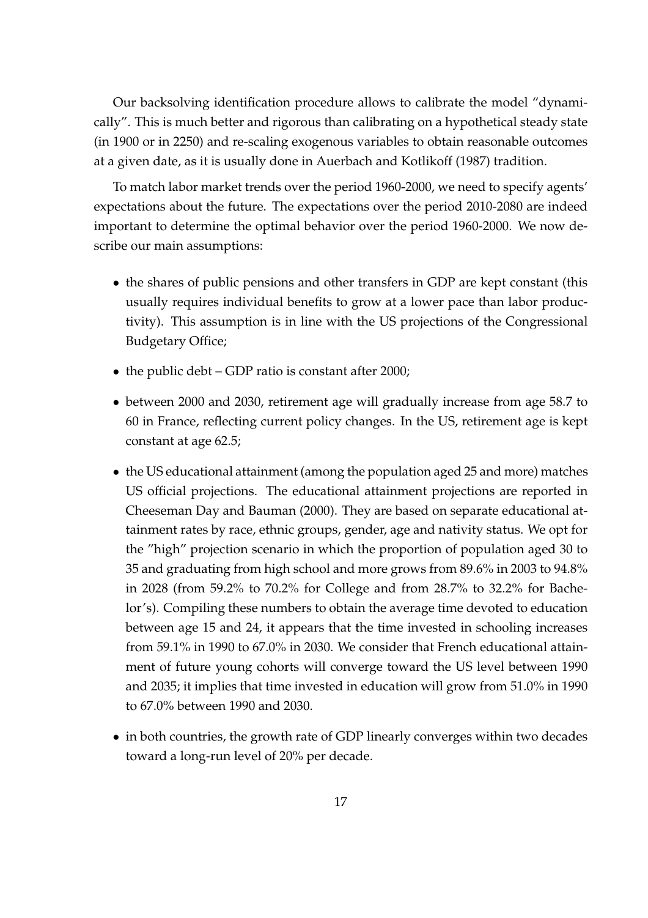Our backsolving identification procedure allows to calibrate the model "dynamically". This is much better and rigorous than calibrating on a hypothetical steady state (in 1900 or in 2250) and re-scaling exogenous variables to obtain reasonable outcomes at a given date, as it is usually done in Auerbach and Kotlikoff (1987) tradition.

To match labor market trends over the period 1960-2000, we need to specify agents' expectations about the future. The expectations over the period 2010-2080 are indeed important to determine the optimal behavior over the period 1960-2000. We now describe our main assumptions:

- the shares of public pensions and other transfers in GDP are kept constant (this usually requires individual benefits to grow at a lower pace than labor productivity). This assumption is in line with the US projections of the Congressional Budgetary Office;
- the public debt GDP ratio is constant after 2000;
- between 2000 and 2030, retirement age will gradually increase from age 58.7 to 60 in France, reflecting current policy changes. In the US, retirement age is kept constant at age 62.5;
- the US educational attainment (among the population aged 25 and more) matches US official projections. The educational attainment projections are reported in Cheeseman Day and Bauman (2000). They are based on separate educational attainment rates by race, ethnic groups, gender, age and nativity status. We opt for the "high" projection scenario in which the proportion of population aged 30 to 35 and graduating from high school and more grows from 89.6% in 2003 to 94.8% in 2028 (from 59.2% to 70.2% for College and from 28.7% to 32.2% for Bachelor's). Compiling these numbers to obtain the average time devoted to education between age 15 and 24, it appears that the time invested in schooling increases from 59.1% in 1990 to 67.0% in 2030. We consider that French educational attainment of future young cohorts will converge toward the US level between 1990 and 2035; it implies that time invested in education will grow from 51.0% in 1990 to 67.0% between 1990 and 2030.
- in both countries, the growth rate of GDP linearly converges within two decades toward a long-run level of 20% per decade.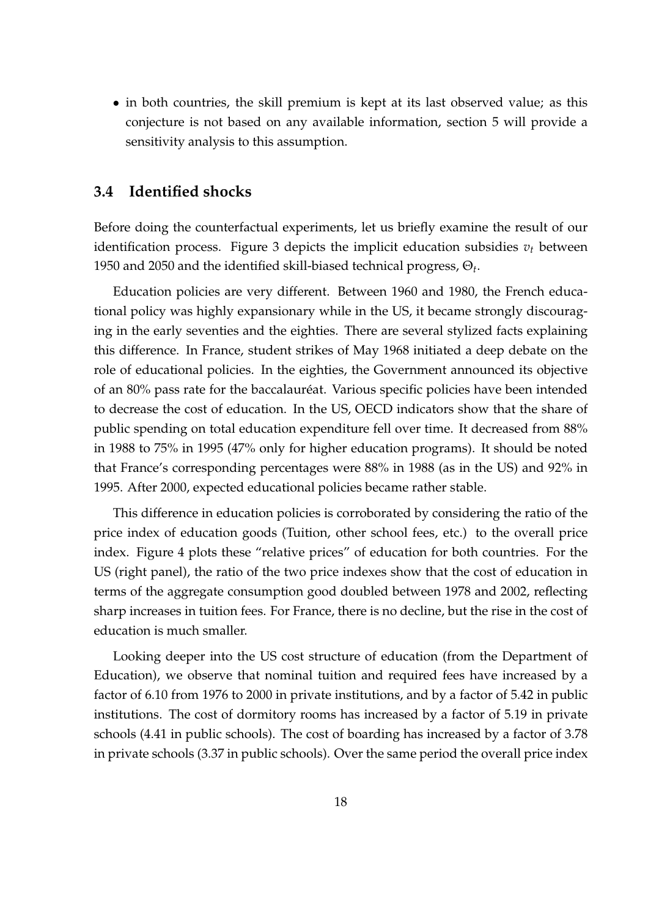• in both countries, the skill premium is kept at its last observed value; as this conjecture is not based on any available information, section 5 will provide a sensitivity analysis to this assumption.

#### 3.4 Identified shocks

Before doing the counterfactual experiments, let us briefly examine the result of our identification process. Figure 3 depicts the implicit education subsidies  $v_t$  between 1950 and 2050 and the identified skill-biased technical progress,  $\Theta_t$ .

Education policies are very different. Between 1960 and 1980, the French educational policy was highly expansionary while in the US, it became strongly discouraging in the early seventies and the eighties. There are several stylized facts explaining this difference. In France, student strikes of May 1968 initiated a deep debate on the role of educational policies. In the eighties, the Government announced its objective of an 80% pass rate for the baccalauréat. Various specific policies have been intended to decrease the cost of education. In the US, OECD indicators show that the share of public spending on total education expenditure fell over time. It decreased from 88% in 1988 to 75% in 1995 (47% only for higher education programs). It should be noted that France's corresponding percentages were 88% in 1988 (as in the US) and 92% in 1995. After 2000, expected educational policies became rather stable.

This difference in education policies is corroborated by considering the ratio of the price index of education goods (Tuition, other school fees, etc.) to the overall price index. Figure 4 plots these "relative prices" of education for both countries. For the US (right panel), the ratio of the two price indexes show that the cost of education in terms of the aggregate consumption good doubled between 1978 and 2002, reflecting sharp increases in tuition fees. For France, there is no decline, but the rise in the cost of education is much smaller.

Looking deeper into the US cost structure of education (from the Department of Education), we observe that nominal tuition and required fees have increased by a factor of 6.10 from 1976 to 2000 in private institutions, and by a factor of 5.42 in public institutions. The cost of dormitory rooms has increased by a factor of 5.19 in private schools (4.41 in public schools). The cost of boarding has increased by a factor of 3.78 in private schools (3.37 in public schools). Over the same period the overall price index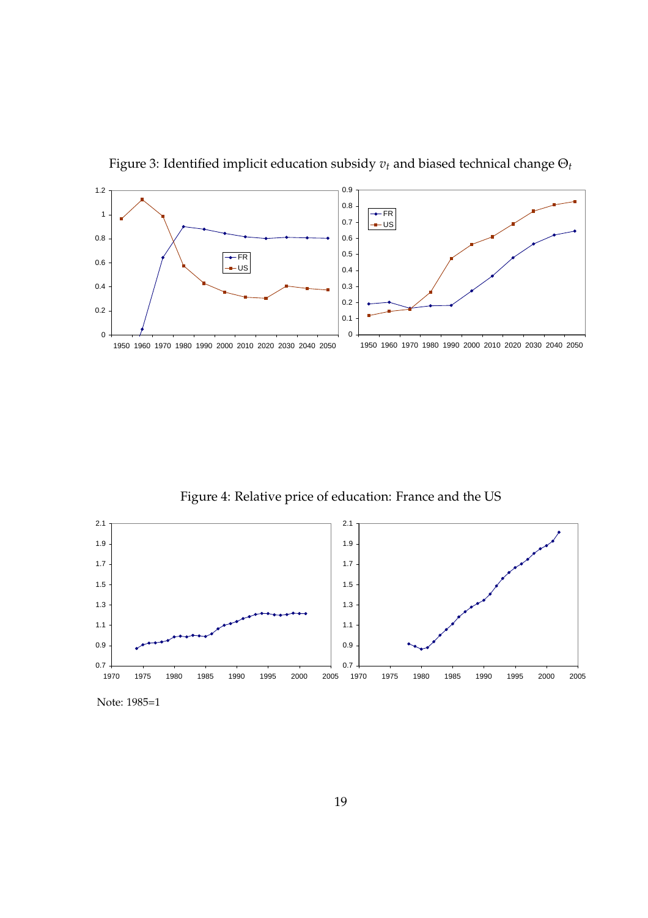

Figure 3: Identified implicit education subsidy  $v_t$  and biased technical change  $\Theta_t$ 

Figure 4: Relative price of education: France and the US



Note: 1985=1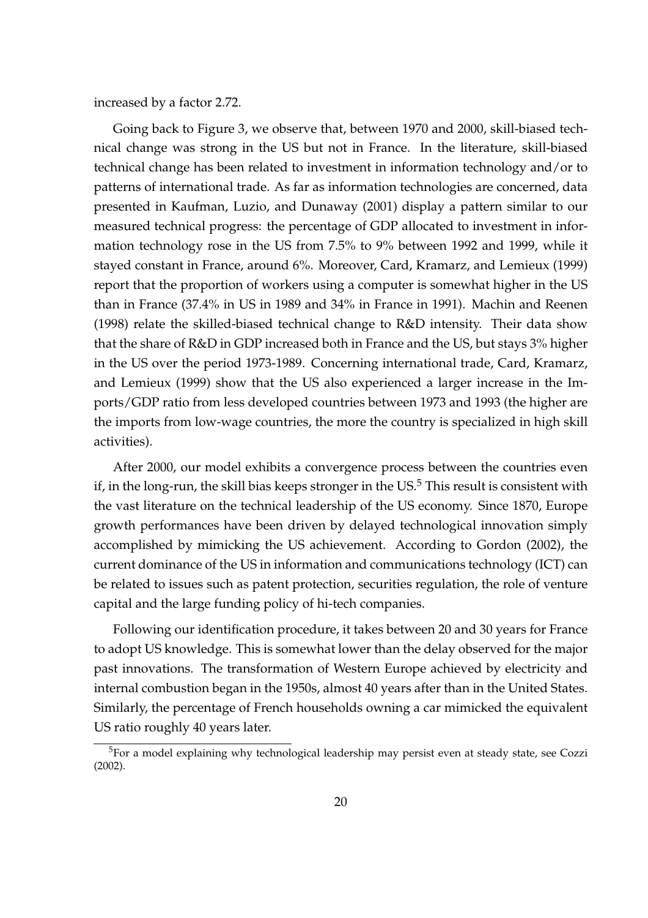increased by a factor 2.72.

Going back to Figure 3, we observe that, between 1970 and 2000, skill-biased technical change was strong in the US but not in France. In the literature, skill-biased technical change has been related to investment in information technology and/or to patterns of international trade. As far as information technologies are concerned, data presented in Kaufman, Luzio, and Dunaway (2001) display a pattern similar to our measured technical progress: the percentage of GDP allocated to investment in information technology rose in the US from 7.5% to 9% between 1992 and 1999, while it stayed constant in France, around 6%. Moreover, Card, Kramarz, and Lemieux (1999) report that the proportion of workers using a computer is somewhat higher in the US than in France (37.4% in US in 1989 and 34% in France in 1991). Machin and Reenen (1998) relate the skilled-biased technical change to R&D intensity. Their data show that the share of R&D in GDP increased both in France and the US, but stays 3% higher in the US over the period 1973-1989. Concerning international trade, Card, Kramarz, and Lemieux (1999) show that the US also experienced a larger increase in the Imports/GDP ratio from less developed countries between 1973 and 1993 (the higher are the imports from low-wage countries, the more the country is specialized in high skill activities).

After 2000, our model exhibits a convergence process between the countries even if, in the long-run, the skill bias keeps stronger in the  $US^5$  This result is consistent with the vast literature on the technical leadership of the US economy. Since 1870, Europe growth performances have been driven by delayed technological innovation simply accomplished by mimicking the US achievement. According to Gordon (2002), the current dominance of the US in information and communications technology (ICT) can be related to issues such as patent protection, securities regulation, the role of venture capital and the large funding policy of hi-tech companies.

Following our identification procedure, it takes between 20 and 30 years for France to adopt US knowledge. This is somewhat lower than the delay observed for the major past innovations. The transformation of Western Europe achieved by electricity and internal combustion began in the 1950s, almost 40 years after than in the United States. Similarly, the percentage of French households owning a car mimicked the equivalent US ratio roughly 40 years later.

<sup>&</sup>lt;sup>5</sup>For a model explaining why technological leadership may persist even at steady state, see Cozzi (2002).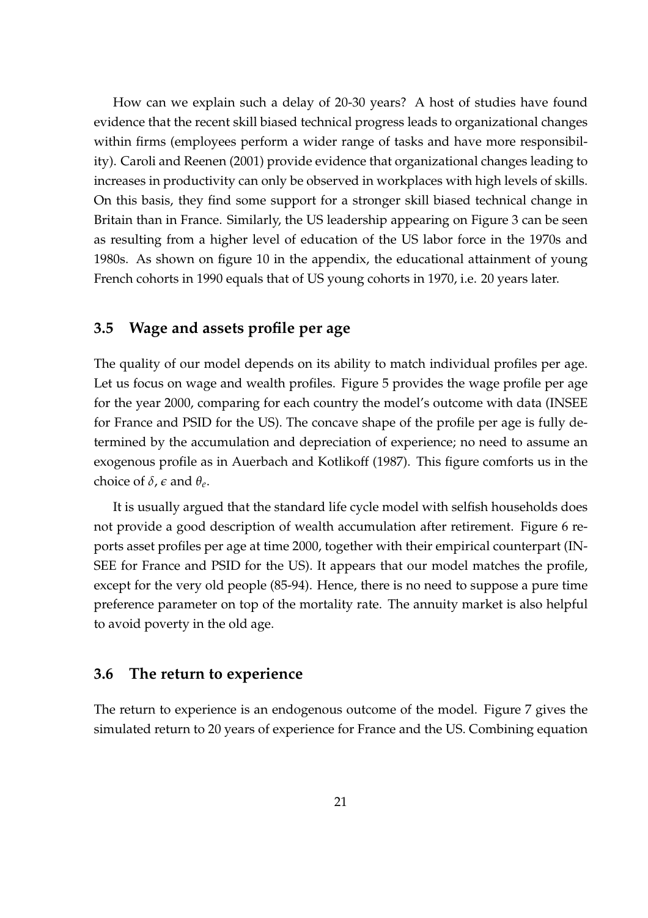How can we explain such a delay of 20-30 years? A host of studies have found evidence that the recent skill biased technical progress leads to organizational changes within firms (employees perform a wider range of tasks and have more responsibility). Caroli and Reenen (2001) provide evidence that organizational changes leading to increases in productivity can only be observed in workplaces with high levels of skills. On this basis, they find some support for a stronger skill biased technical change in Britain than in France. Similarly, the US leadership appearing on Figure 3 can be seen as resulting from a higher level of education of the US labor force in the 1970s and 1980s. As shown on figure 10 in the appendix, the educational attainment of young French cohorts in 1990 equals that of US young cohorts in 1970, i.e. 20 years later.

#### 3.5 Wage and assets profile per age

The quality of our model depends on its ability to match individual profiles per age. Let us focus on wage and wealth profiles. Figure 5 provides the wage profile per age for the year 2000, comparing for each country the model's outcome with data (INSEE for France and PSID for the US). The concave shape of the profile per age is fully determined by the accumulation and depreciation of experience; no need to assume an exogenous profile as in Auerbach and Kotlikoff (1987). This figure comforts us in the choice of  $\delta$ ,  $\epsilon$  and  $\theta_e$ .

It is usually argued that the standard life cycle model with selfish households does not provide a good description of wealth accumulation after retirement. Figure 6 reports asset profiles per age at time 2000, together with their empirical counterpart (IN-SEE for France and PSID for the US). It appears that our model matches the profile, except for the very old people (85-94). Hence, there is no need to suppose a pure time preference parameter on top of the mortality rate. The annuity market is also helpful to avoid poverty in the old age.

#### 3.6 The return to experience

The return to experience is an endogenous outcome of the model. Figure 7 gives the simulated return to 20 years of experience for France and the US. Combining equation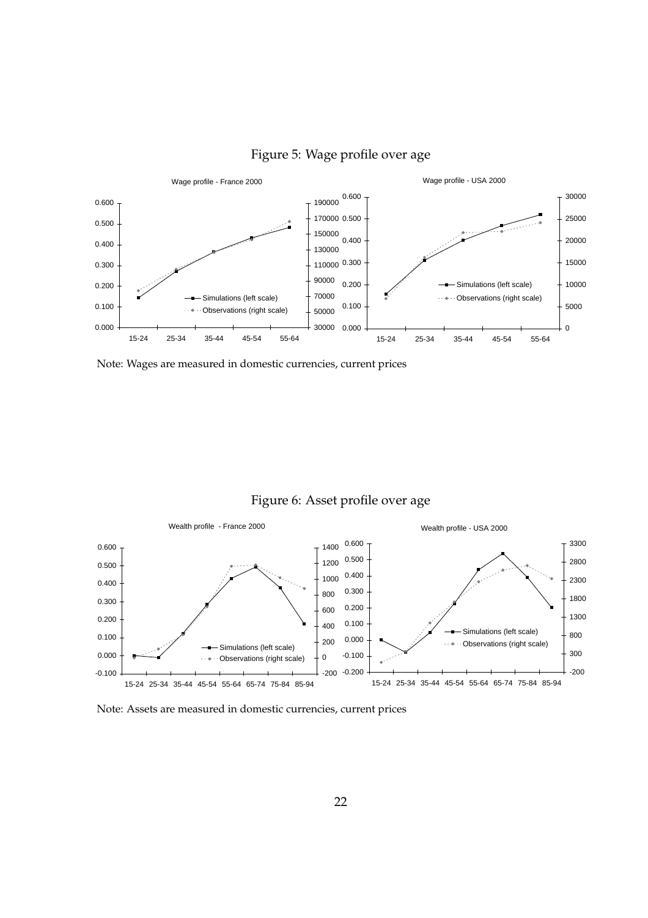

Figure 5: Wage profile over age

Note: Wages are measured in domestic currencies, current prices





Note: Assets are measured in domestic currencies, current prices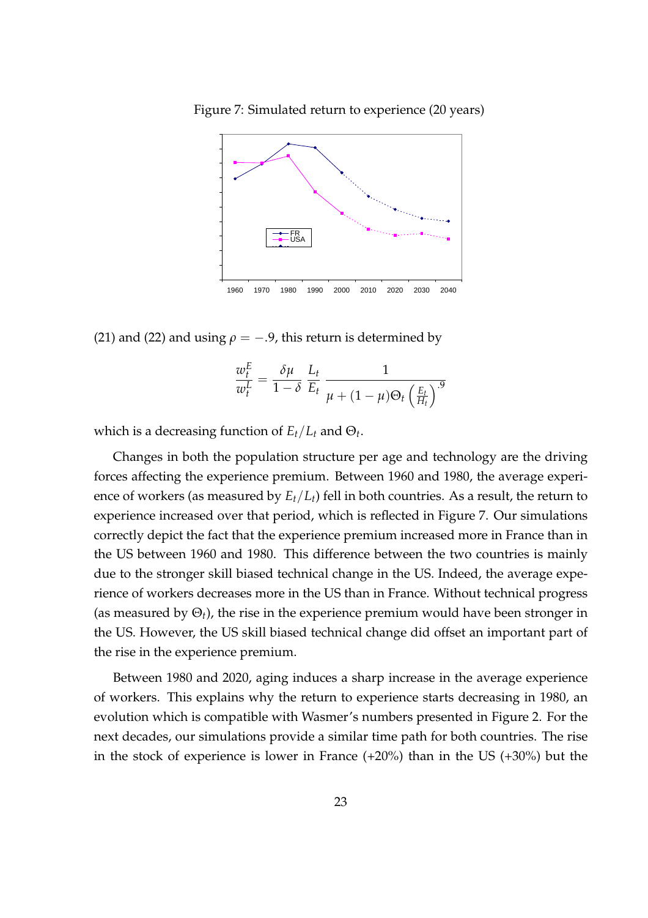Figure 7: Simulated return to experience (20 years)



(21) and (22) and using  $\rho = -.9$ , this return is determined by

$$
\frac{w_t^E}{w_t^L} = \frac{\delta \mu}{1 - \delta} \frac{L_t}{E_t} \frac{1}{\mu + (1 - \mu)\Theta_t \left(\frac{E_t}{H_t}\right)^{.9}}
$$

which is a decreasing function of  $E_t/L_t$  and  $\Theta_t$ .

Changes in both the population structure per age and technology are the driving forces affecting the experience premium. Between 1960 and 1980, the average experience of workers (as measured by  $E_t/L_t$ ) fell in both countries. As a result, the return to experience increased over that period, which is reflected in Figure 7. Our simulations correctly depict the fact that the experience premium increased more in France than in the US between 1960 and 1980. This difference between the two countries is mainly due to the stronger skill biased technical change in the US. Indeed, the average experience of workers decreases more in the US than in France. Without technical progress (as measured by  $\Theta_t$ ), the rise in the experience premium would have been stronger in the US. However, the US skill biased technical change did offset an important part of the rise in the experience premium.

Between 1980 and 2020, aging induces a sharp increase in the average experience of workers. This explains why the return to experience starts decreasing in 1980, an evolution which is compatible with Wasmer's numbers presented in Figure 2. For the next decades, our simulations provide a similar time path for both countries. The rise in the stock of experience is lower in France (+20%) than in the US (+30%) but the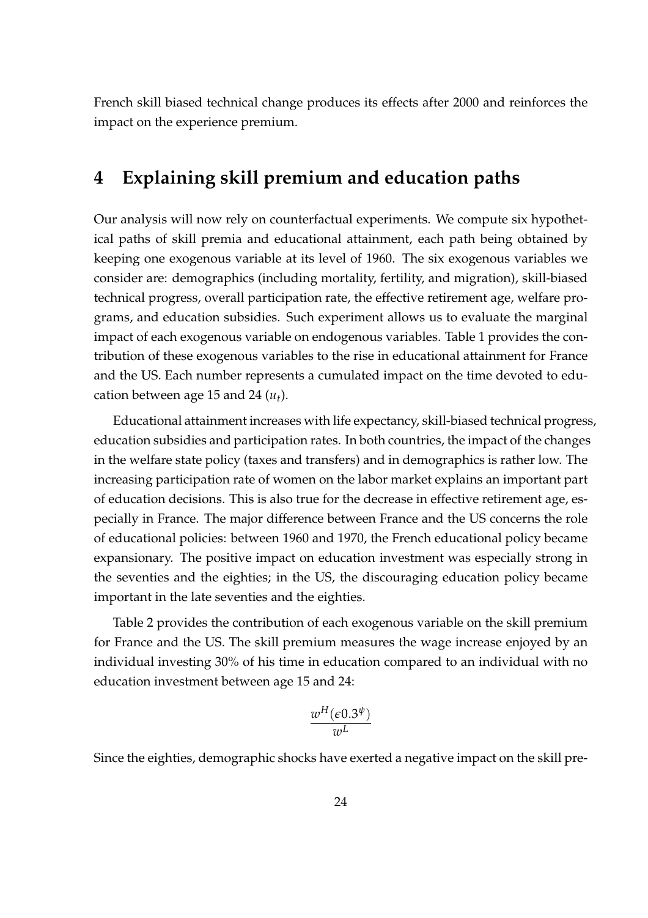French skill biased technical change produces its effects after 2000 and reinforces the impact on the experience premium.

### 4 Explaining skill premium and education paths

Our analysis will now rely on counterfactual experiments. We compute six hypothetical paths of skill premia and educational attainment, each path being obtained by keeping one exogenous variable at its level of 1960. The six exogenous variables we consider are: demographics (including mortality, fertility, and migration), skill-biased technical progress, overall participation rate, the effective retirement age, welfare programs, and education subsidies. Such experiment allows us to evaluate the marginal impact of each exogenous variable on endogenous variables. Table 1 provides the contribution of these exogenous variables to the rise in educational attainment for France and the US. Each number represents a cumulated impact on the time devoted to education between age 15 and 24  $(u_t)$ .

Educational attainment increases with life expectancy, skill-biased technical progress, education subsidies and participation rates. In both countries, the impact of the changes in the welfare state policy (taxes and transfers) and in demographics is rather low. The increasing participation rate of women on the labor market explains an important part of education decisions. This is also true for the decrease in effective retirement age, especially in France. The major difference between France and the US concerns the role of educational policies: between 1960 and 1970, the French educational policy became expansionary. The positive impact on education investment was especially strong in the seventies and the eighties; in the US, the discouraging education policy became important in the late seventies and the eighties.

Table 2 provides the contribution of each exogenous variable on the skill premium for France and the US. The skill premium measures the wage increase enjoyed by an individual investing 30% of his time in education compared to an individual with no education investment between age 15 and 24:

$$
\frac{w^H(\epsilon 0.3^{\psi})}{w^L}
$$

Since the eighties, demographic shocks have exerted a negative impact on the skill pre-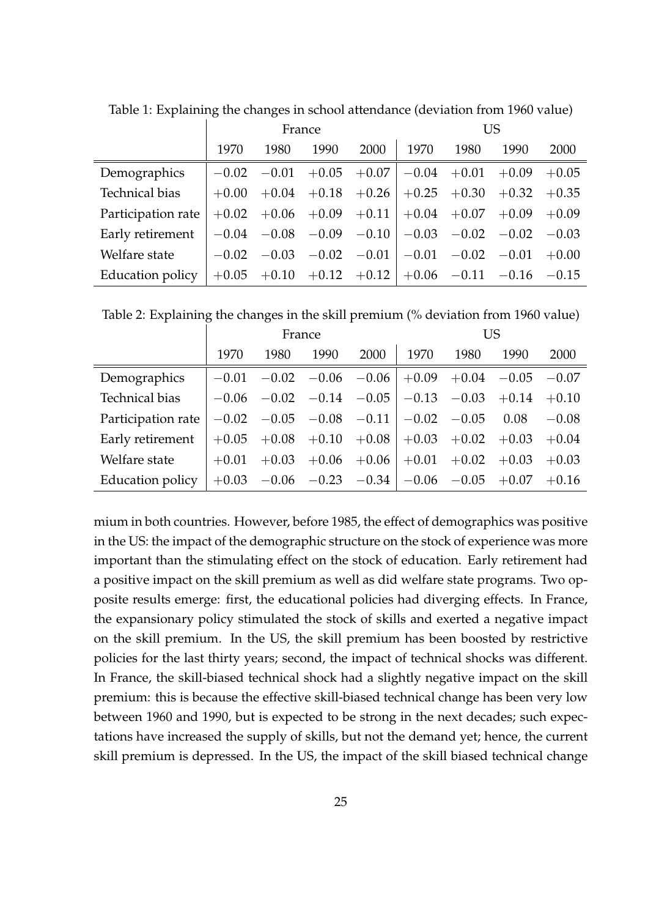|                    | France  |                |         | US              |                                 |                         |                                                                 |         |
|--------------------|---------|----------------|---------|-----------------|---------------------------------|-------------------------|-----------------------------------------------------------------|---------|
|                    | 1970    | 1980           | 1990    | 2000            | 1970                            | 1980                    | 1990                                                            | 2000    |
| Demographics       | $-0.02$ | $-0.01$        | $+0.05$ |                 | $+0.07$   $-0.04$ +0.01         |                         | $+0.09$                                                         | $+0.05$ |
| Technical bias     | $+0.00$ | $+0.04$        | $+0.18$ | $+0.26$         |                                 | $+0.25 +0.30$           | $+0.32$                                                         | $+0.35$ |
| Participation rate | $+0.02$ |                |         |                 | $+0.06 +0.09 +0.11 +0.04 +0.07$ |                         | $+0.09$                                                         | $+0.09$ |
| Early retirement   |         | $-0.04 - 0.08$ |         | $-0.09$ $-0.10$ |                                 | $-0.03$ $-0.02$ $-0.02$ |                                                                 | $-0.03$ |
| Welfare state      | $-0.02$ | $-0.03$        | $-0.02$ | $-0.01$         |                                 | $-0.01$ $-0.02$ $-0.01$ |                                                                 | $+0.00$ |
| Education policy   |         |                |         |                 |                                 |                         | $+0.05$ $+0.10$ $+0.12$ $+0.12$ $+0.06$ $-0.11$ $-0.16$ $-0.15$ |         |

Table 1: Explaining the changes in school attendance (deviation from 1960 value)

Table 2: Explaining the changes in the skill premium (% deviation from 1960 value)

|                    | France  |               |                 | <b>US</b>       |                                 |                |         |         |
|--------------------|---------|---------------|-----------------|-----------------|---------------------------------|----------------|---------|---------|
|                    | 1970    | 1980          | 1990            | 2000            | 1970                            | 1980           | 1990    | 2000    |
| Demographics       | $-0.01$ | $-0.02$       |                 | $-0.06$ $-0.06$ | $+0.09$                         | $+0.04 - 0.05$ |         | $-0.07$ |
| Technical bias     | $-0.06$ | $-0.02$       | $-0.14 - 0.05$  |                 | $-0.13$                         | $-0.03$        | $+0.14$ | $+0.10$ |
| Participation rate | $-0.02$ | $-0.05$       | $-0.08$ $-0.11$ |                 | $-0.02$                         | $-0.05$        | 0.08    | $-0.08$ |
| Early retirement   | $+0.05$ | $+0.08$       | $+0.10$         | $+0.08$         | $+0.03$                         | $+0.02$        | $+0.03$ | $+0.04$ |
| Welfare state      | $+0.01$ | $+0.03$       | $+0.06$         | $+0.06$         | $+0.01$                         | $+0.02$        | $+0.03$ | $+0.03$ |
| Education policy   |         | $+0.03 -0.06$ |                 |                 | $-0.23$ $-0.34$ $-0.06$ $-0.05$ |                | $+0.07$ | $+0.16$ |

mium in both countries. However, before 1985, the effect of demographics was positive in the US: the impact of the demographic structure on the stock of experience was more important than the stimulating effect on the stock of education. Early retirement had a positive impact on the skill premium as well as did welfare state programs. Two opposite results emerge: first, the educational policies had diverging effects. In France, the expansionary policy stimulated the stock of skills and exerted a negative impact on the skill premium. In the US, the skill premium has been boosted by restrictive policies for the last thirty years; second, the impact of technical shocks was different. In France, the skill-biased technical shock had a slightly negative impact on the skill premium: this is because the effective skill-biased technical change has been very low between 1960 and 1990, but is expected to be strong in the next decades; such expectations have increased the supply of skills, but not the demand yet; hence, the current skill premium is depressed. In the US, the impact of the skill biased technical change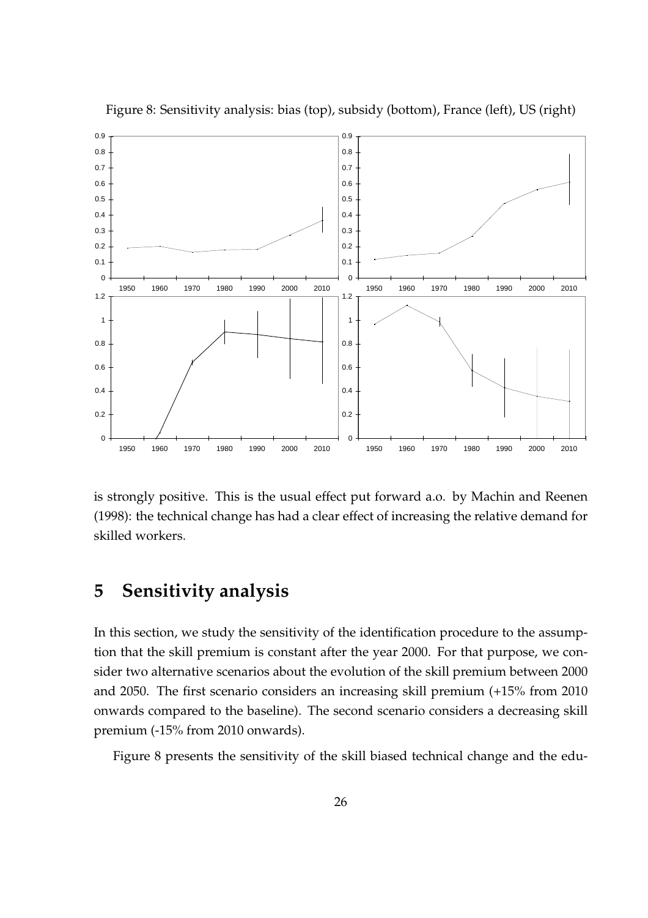

Figure 8: Sensitivity analysis: bias (top), subsidy (bottom), France (left), US (right)

is strongly positive. This is the usual effect put forward a.o. by Machin and Reenen (1998): the technical change has had a clear effect of increasing the relative demand for skilled workers.

### 5 Sensitivity analysis

In this section, we study the sensitivity of the identification procedure to the assumption that the skill premium is constant after the year 2000. For that purpose, we consider two alternative scenarios about the evolution of the skill premium between 2000 and 2050. The first scenario considers an increasing skill premium (+15% from 2010 onwards compared to the baseline). The second scenario considers a decreasing skill premium (-15% from 2010 onwards).

Figure 8 presents the sensitivity of the skill biased technical change and the edu-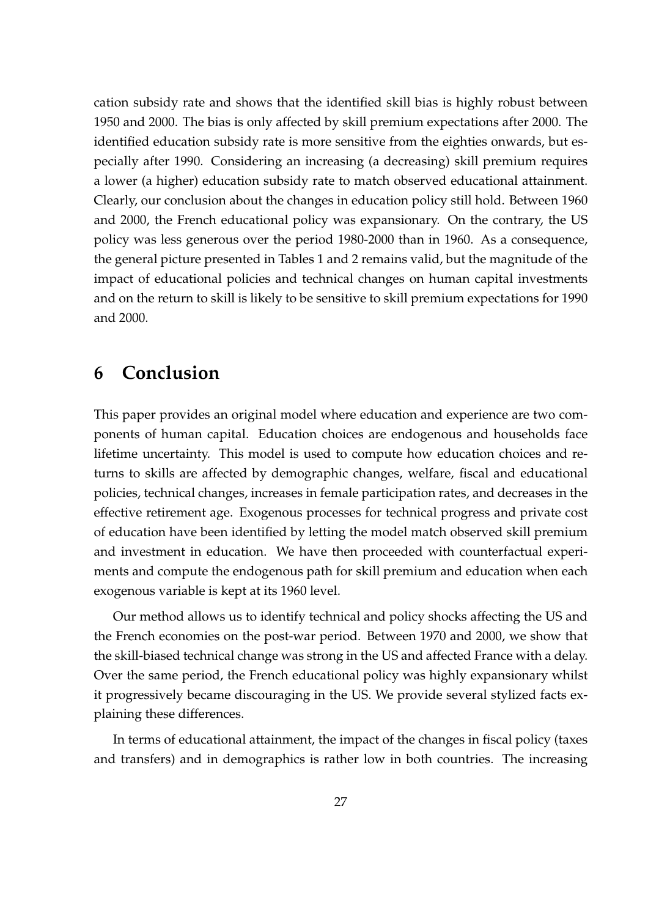cation subsidy rate and shows that the identified skill bias is highly robust between 1950 and 2000. The bias is only affected by skill premium expectations after 2000. The identified education subsidy rate is more sensitive from the eighties onwards, but especially after 1990. Considering an increasing (a decreasing) skill premium requires a lower (a higher) education subsidy rate to match observed educational attainment. Clearly, our conclusion about the changes in education policy still hold. Between 1960 and 2000, the French educational policy was expansionary. On the contrary, the US policy was less generous over the period 1980-2000 than in 1960. As a consequence, the general picture presented in Tables 1 and 2 remains valid, but the magnitude of the impact of educational policies and technical changes on human capital investments and on the return to skill is likely to be sensitive to skill premium expectations for 1990 and 2000.

### 6 Conclusion

This paper provides an original model where education and experience are two components of human capital. Education choices are endogenous and households face lifetime uncertainty. This model is used to compute how education choices and returns to skills are affected by demographic changes, welfare, fiscal and educational policies, technical changes, increases in female participation rates, and decreases in the effective retirement age. Exogenous processes for technical progress and private cost of education have been identified by letting the model match observed skill premium and investment in education. We have then proceeded with counterfactual experiments and compute the endogenous path for skill premium and education when each exogenous variable is kept at its 1960 level.

Our method allows us to identify technical and policy shocks affecting the US and the French economies on the post-war period. Between 1970 and 2000, we show that the skill-biased technical change was strong in the US and affected France with a delay. Over the same period, the French educational policy was highly expansionary whilst it progressively became discouraging in the US. We provide several stylized facts explaining these differences.

In terms of educational attainment, the impact of the changes in fiscal policy (taxes and transfers) and in demographics is rather low in both countries. The increasing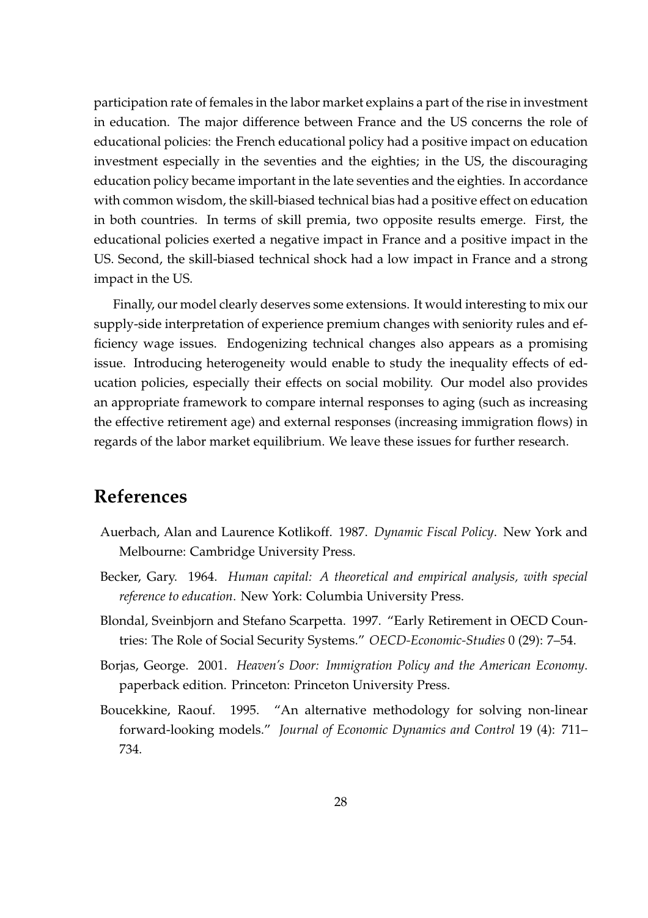participation rate of females in the labor market explains a part of the rise in investment in education. The major difference between France and the US concerns the role of educational policies: the French educational policy had a positive impact on education investment especially in the seventies and the eighties; in the US, the discouraging education policy became important in the late seventies and the eighties. In accordance with common wisdom, the skill-biased technical bias had a positive effect on education in both countries. In terms of skill premia, two opposite results emerge. First, the educational policies exerted a negative impact in France and a positive impact in the US. Second, the skill-biased technical shock had a low impact in France and a strong impact in the US.

Finally, our model clearly deserves some extensions. It would interesting to mix our supply-side interpretation of experience premium changes with seniority rules and efficiency wage issues. Endogenizing technical changes also appears as a promising issue. Introducing heterogeneity would enable to study the inequality effects of education policies, especially their effects on social mobility. Our model also provides an appropriate framework to compare internal responses to aging (such as increasing the effective retirement age) and external responses (increasing immigration flows) in regards of the labor market equilibrium. We leave these issues for further research.

### References

- Auerbach, Alan and Laurence Kotlikoff. 1987. Dynamic Fiscal Policy. New York and Melbourne: Cambridge University Press.
- Becker, Gary. 1964. Human capital: A theoretical and empirical analysis, with special reference to education. New York: Columbia University Press.
- Blondal, Sveinbjorn and Stefano Scarpetta. 1997. "Early Retirement in OECD Countries: The Role of Social Security Systems." OECD-Economic-Studies 0 (29): 7–54.
- Borjas, George. 2001. Heaven's Door: Immigration Policy and the American Economy. paperback edition. Princeton: Princeton University Press.
- Boucekkine, Raouf. 1995. "An alternative methodology for solving non-linear forward-looking models." Journal of Economic Dynamics and Control 19 (4): 711– 734.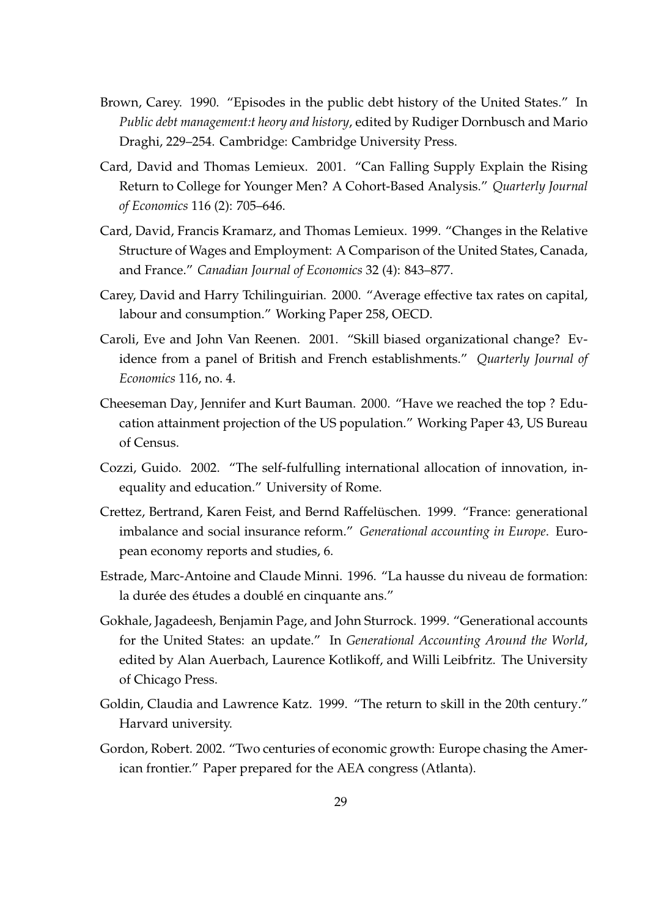- Brown, Carey. 1990. "Episodes in the public debt history of the United States." In Public debt management:t heory and history, edited by Rudiger Dornbusch and Mario Draghi, 229–254. Cambridge: Cambridge University Press.
- Card, David and Thomas Lemieux. 2001. "Can Falling Supply Explain the Rising Return to College for Younger Men? A Cohort-Based Analysis." Quarterly Journal of Economics 116 (2): 705–646.
- Card, David, Francis Kramarz, and Thomas Lemieux. 1999. "Changes in the Relative Structure of Wages and Employment: A Comparison of the United States, Canada, and France." Canadian Journal of Economics 32 (4): 843–877.
- Carey, David and Harry Tchilinguirian. 2000. "Average effective tax rates on capital, labour and consumption." Working Paper 258, OECD.
- Caroli, Eve and John Van Reenen. 2001. "Skill biased organizational change? Evidence from a panel of British and French establishments." Quarterly Journal of Economics 116, no. 4.
- Cheeseman Day, Jennifer and Kurt Bauman. 2000. "Have we reached the top ? Education attainment projection of the US population." Working Paper 43, US Bureau of Census.
- Cozzi, Guido. 2002. "The self-fulfulling international allocation of innovation, inequality and education." University of Rome.
- Crettez, Bertrand, Karen Feist, and Bernd Raffelüschen. 1999. "France: generational imbalance and social insurance reform." Generational accounting in Europe. European economy reports and studies, 6.
- Estrade, Marc-Antoine and Claude Minni. 1996. "La hausse du niveau de formation: la durée des études a doublé en cinquante ans."
- Gokhale, Jagadeesh, Benjamin Page, and John Sturrock. 1999. "Generational accounts for the United States: an update." In Generational Accounting Around the World, edited by Alan Auerbach, Laurence Kotlikoff, and Willi Leibfritz. The University of Chicago Press.
- Goldin, Claudia and Lawrence Katz. 1999. "The return to skill in the 20th century." Harvard university.
- Gordon, Robert. 2002. "Two centuries of economic growth: Europe chasing the American frontier." Paper prepared for the AEA congress (Atlanta).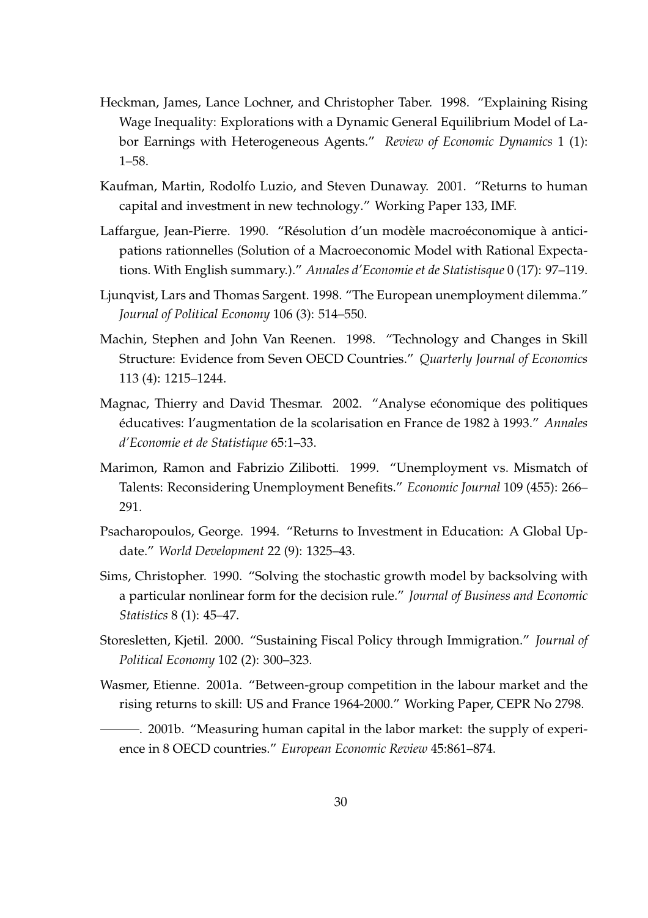- Heckman, James, Lance Lochner, and Christopher Taber. 1998. "Explaining Rising Wage Inequality: Explorations with a Dynamic General Equilibrium Model of Labor Earnings with Heterogeneous Agents." Review of Economic Dynamics 1 (1): 1–58.
- Kaufman, Martin, Rodolfo Luzio, and Steven Dunaway. 2001. "Returns to human capital and investment in new technology." Working Paper 133, IMF.
- Laffargue, Jean-Pierre. 1990. "Résolution d'un modèle macro économique à anticipations rationnelles (Solution of a Macroeconomic Model with Rational Expectations. With English summary.)." Annales d'Economie et de Statistisque 0 (17): 97–119.
- Ljunqvist, Lars and Thomas Sargent. 1998. "The European unemployment dilemma." Journal of Political Economy 106 (3): 514–550.
- Machin, Stephen and John Van Reenen. 1998. "Technology and Changes in Skill Structure: Evidence from Seven OECD Countries." Quarterly Journal of Economics 113 (4): 1215–1244.
- Magnac, Thierry and David Thesmar. 2002. "Analyse ećonomique des politiques éducatives: l'augmentation de la scolarisation en France de 1982 à 1993." Annales d'Economie et de Statistique 65:1–33.
- Marimon, Ramon and Fabrizio Zilibotti. 1999. "Unemployment vs. Mismatch of Talents: Reconsidering Unemployment Benefits." Economic Journal 109 (455): 266– 291.
- Psacharopoulos, George. 1994. "Returns to Investment in Education: A Global Update." World Development 22 (9): 1325–43.
- Sims, Christopher. 1990. "Solving the stochastic growth model by backsolving with a particular nonlinear form for the decision rule." Journal of Business and Economic Statistics 8 (1): 45–47.
- Storesletten, Kjetil. 2000. "Sustaining Fiscal Policy through Immigration." Journal of Political Economy 102 (2): 300–323.
- Wasmer, Etienne. 2001a. "Between-group competition in the labour market and the rising returns to skill: US and France 1964-2000." Working Paper, CEPR No 2798.

. 2001b. "Measuring human capital in the labor market: the supply of experience in 8 OECD countries." European Economic Review 45:861–874.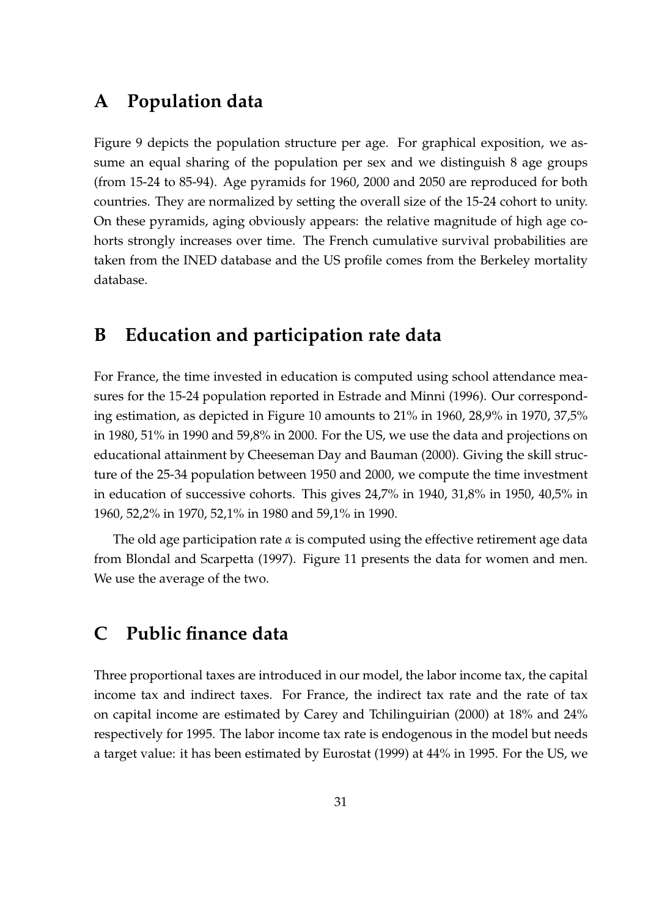### A Population data

Figure 9 depicts the population structure per age. For graphical exposition, we assume an equal sharing of the population per sex and we distinguish 8 age groups (from 15-24 to 85-94). Age pyramids for 1960, 2000 and 2050 are reproduced for both countries. They are normalized by setting the overall size of the 15-24 cohort to unity. On these pyramids, aging obviously appears: the relative magnitude of high age cohorts strongly increases over time. The French cumulative survival probabilities are taken from the INED database and the US profile comes from the Berkeley mortality database.

### B Education and participation rate data

For France, the time invested in education is computed using school attendance measures for the 15-24 population reported in Estrade and Minni (1996). Our corresponding estimation, as depicted in Figure 10 amounts to 21% in 1960, 28,9% in 1970, 37,5% in 1980, 51% in 1990 and 59,8% in 2000. For the US, we use the data and projections on educational attainment by Cheeseman Day and Bauman (2000). Giving the skill structure of the 25-34 population between 1950 and 2000, we compute the time investment in education of successive cohorts. This gives 24,7% in 1940, 31,8% in 1950, 40,5% in 1960, 52,2% in 1970, 52,1% in 1980 and 59,1% in 1990.

The old age participation rate  $\alpha$  is computed using the effective retirement age data from Blondal and Scarpetta (1997). Figure 11 presents the data for women and men. We use the average of the two.

### C Public finance data

Three proportional taxes are introduced in our model, the labor income tax, the capital income tax and indirect taxes. For France, the indirect tax rate and the rate of tax on capital income are estimated by Carey and Tchilinguirian (2000) at 18% and 24% respectively for 1995. The labor income tax rate is endogenous in the model but needs a target value: it has been estimated by Eurostat (1999) at 44% in 1995. For the US, we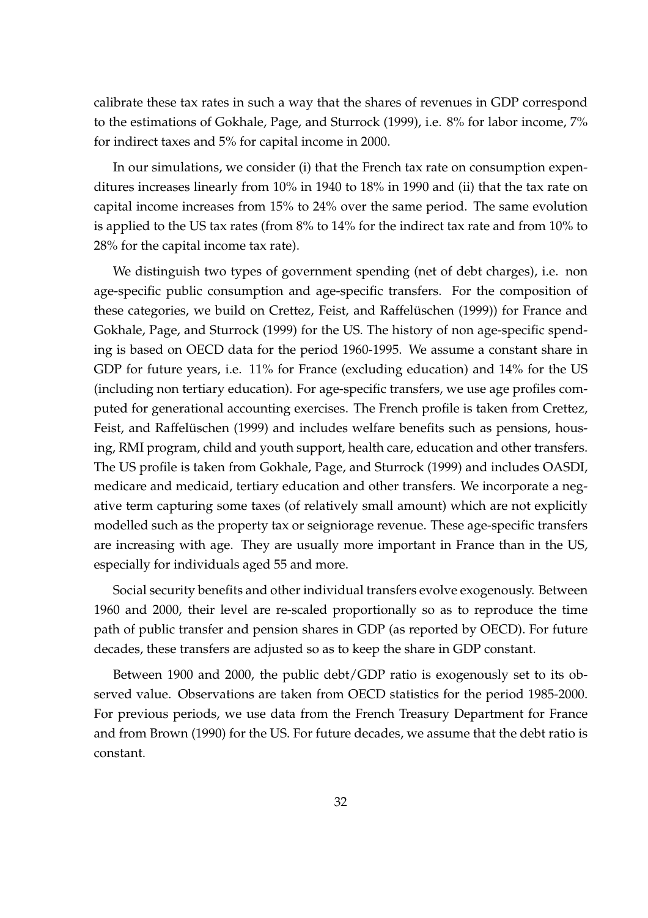calibrate these tax rates in such a way that the shares of revenues in GDP correspond to the estimations of Gokhale, Page, and Sturrock (1999), i.e. 8% for labor income, 7% for indirect taxes and 5% for capital income in 2000.

In our simulations, we consider (i) that the French tax rate on consumption expenditures increases linearly from 10% in 1940 to 18% in 1990 and (ii) that the tax rate on capital income increases from 15% to 24% over the same period. The same evolution is applied to the US tax rates (from 8% to 14% for the indirect tax rate and from 10% to 28% for the capital income tax rate).

We distinguish two types of government spending (net of debt charges), i.e. non age-specific public consumption and age-specific transfers. For the composition of these categories, we build on Crettez, Feist, and Raffelüschen (1999)) for France and Gokhale, Page, and Sturrock (1999) for the US. The history of non age-specific spending is based on OECD data for the period 1960-1995. We assume a constant share in GDP for future years, i.e. 11% for France (excluding education) and 14% for the US (including non tertiary education). For age-specific transfers, we use age profiles computed for generational accounting exercises. The French profile is taken from Crettez, Feist, and Raffelüschen (1999) and includes welfare benefits such as pensions, housing, RMI program, child and youth support, health care, education and other transfers. The US profile is taken from Gokhale, Page, and Sturrock (1999) and includes OASDI, medicare and medicaid, tertiary education and other transfers. We incorporate a negative term capturing some taxes (of relatively small amount) which are not explicitly modelled such as the property tax or seigniorage revenue. These age-specific transfers are increasing with age. They are usually more important in France than in the US, especially for individuals aged 55 and more.

Social security benefits and other individual transfers evolve exogenously. Between 1960 and 2000, their level are re-scaled proportionally so as to reproduce the time path of public transfer and pension shares in GDP (as reported by OECD). For future decades, these transfers are adjusted so as to keep the share in GDP constant.

Between 1900 and 2000, the public debt/GDP ratio is exogenously set to its observed value. Observations are taken from OECD statistics for the period 1985-2000. For previous periods, we use data from the French Treasury Department for France and from Brown (1990) for the US. For future decades, we assume that the debt ratio is constant.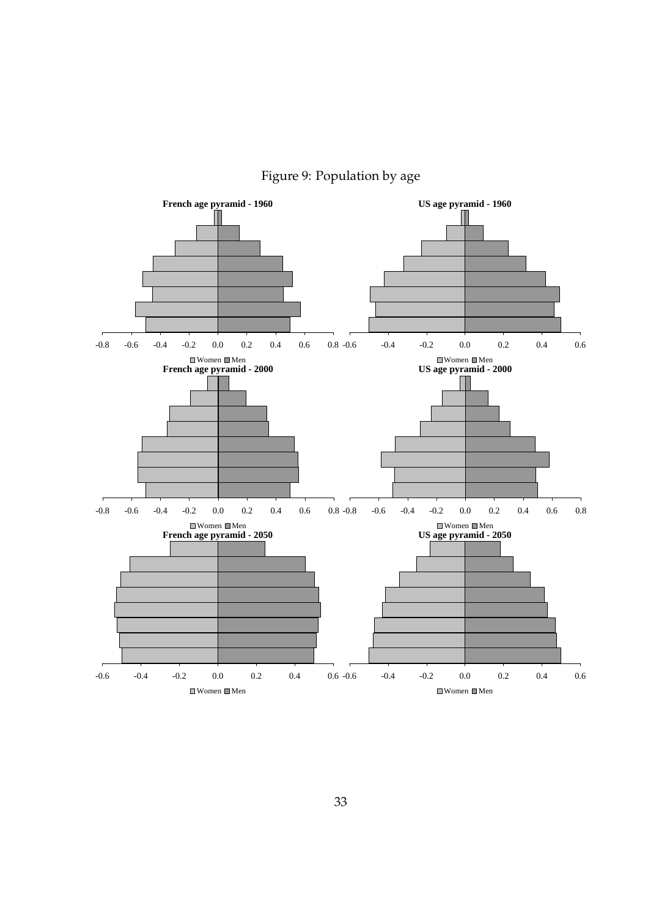

Figure 9: Population by age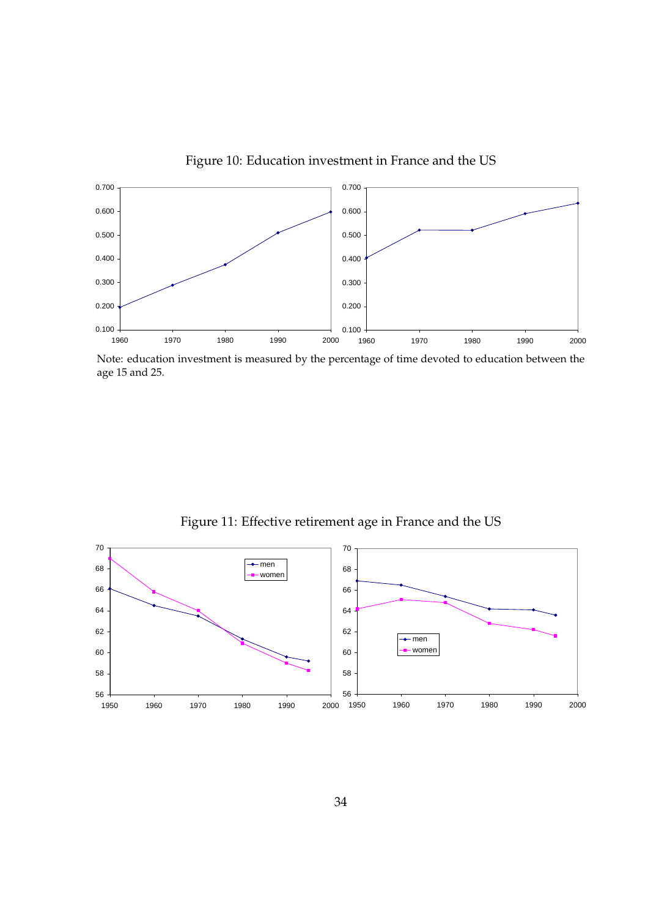

Figure 10: Education investment in France and the US

Note: education investment is measured by the percentage of time devoted to education between the age 15 and 25.



Figure 11: Effective retirement age in France and the US